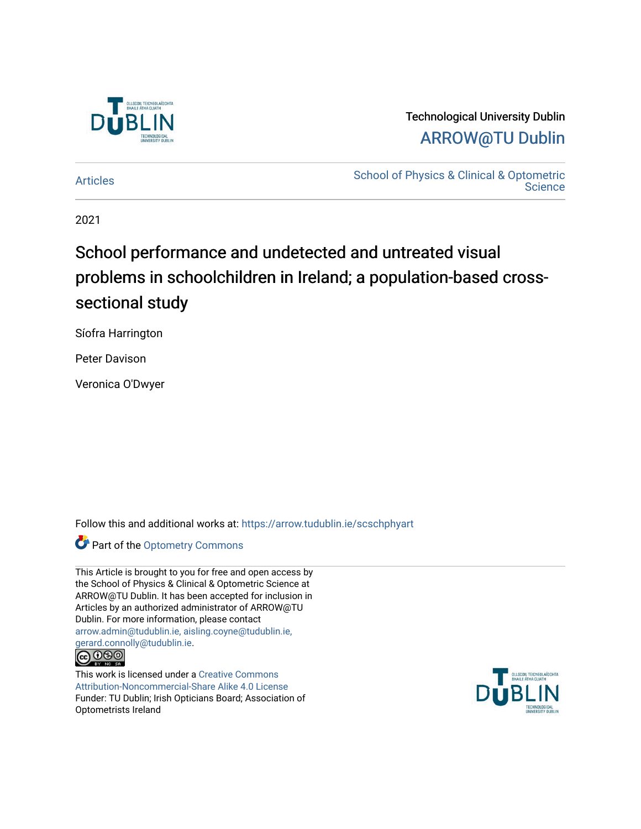

### Technological University Dublin [ARROW@TU Dublin](https://arrow.tudublin.ie/)

[Articles](https://arrow.tudublin.ie/scschphyart) **School of Physics & Clinical & Optometric**<br>
Articles **Science** 

2021

# School performance and undetected and untreated visual problems in schoolchildren in Ireland; a population-based crosssectional study

Síofra Harrington

Peter Davison

Veronica O'Dwyer

Follow this and additional works at: [https://arrow.tudublin.ie/scschphyart](https://arrow.tudublin.ie/scschphyart?utm_source=arrow.tudublin.ie%2Fscschphyart%2F140&utm_medium=PDF&utm_campaign=PDFCoverPages)

**Part of the Optometry Commons** 

| This Article is brought to you for free and open access by |
|------------------------------------------------------------|
| the School of Physics & Clinical & Optometric Science at   |
| ARROW@TU Dublin. It has been accepted for inclusion in     |
| Articles by an authorized administrator of ARROW@TU        |
| Dublin. For more information, please contact               |
| arrow.admin@tudublin.ie, aisling.coyne@tudublin.ie,        |
| gerard.connolly@tudublin.ie.                               |
| $\cap$                                                     |



This work is licensed under a [Creative Commons](http://creativecommons.org/licenses/by-nc-sa/4.0/) [Attribution-Noncommercial-Share Alike 4.0 License](http://creativecommons.org/licenses/by-nc-sa/4.0/) Funder: TU Dublin; Irish Opticians Board; Association of Optometrists Ireland

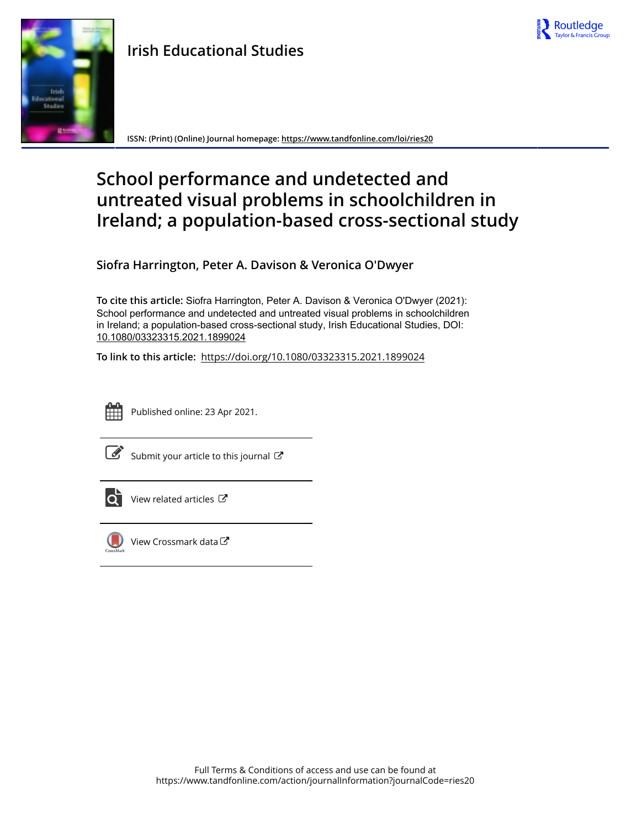

## **Irish Educational Studies**



**ISSN: (Print) (Online) Journal homepage:<https://www.tandfonline.com/loi/ries20>**

# **School performance and undetected and untreated visual problems in schoolchildren in Ireland; a population-based cross-sectional study**

**Siofra Harrington, Peter A. Davison & Veronica O'Dwyer**

**To cite this article:** Siofra Harrington, Peter A. Davison & Veronica O'Dwyer (2021): School performance and undetected and untreated visual problems in schoolchildren in Ireland; a population-based cross-sectional study, Irish Educational Studies, DOI: [10.1080/03323315.2021.1899024](https://www.tandfonline.com/action/showCitFormats?doi=10.1080/03323315.2021.1899024)

**To link to this article:** <https://doi.org/10.1080/03323315.2021.1899024>



Published online: 23 Apr 2021.



 $\overline{\mathscr{L}}$  [Submit your article to this journal](https://www.tandfonline.com/action/authorSubmission?journalCode=ries20&show=instructions)  $\mathbb{Z}$ 



 $\bullet$  [View related articles](https://www.tandfonline.com/doi/mlt/10.1080/03323315.2021.1899024)  $\circ$ 



 $\bigcup$  [View Crossmark data](http://crossmark.crossref.org/dialog/?doi=10.1080/03323315.2021.1899024&domain=pdf&date_stamp=2021-04-23) $\mathbb{Z}$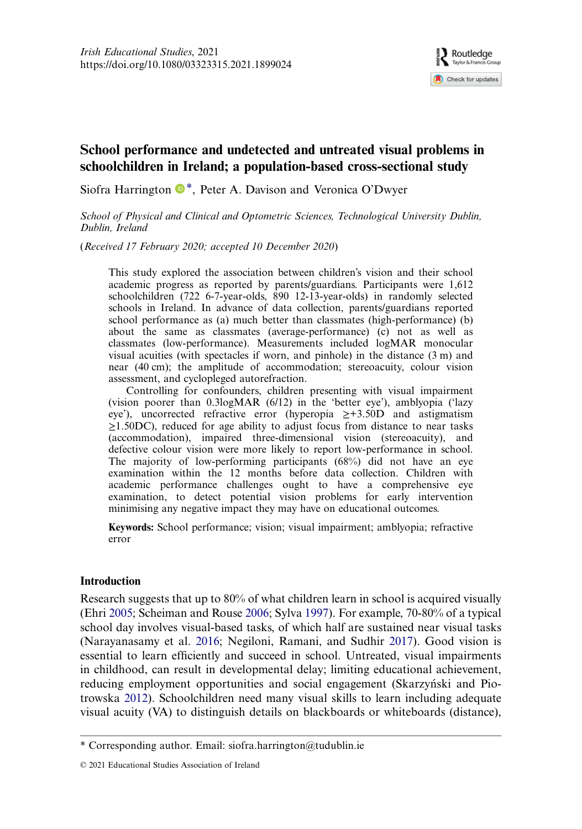

### School performance and undetected and untreated visual problems in schoolchildren in Ireland; a population-based cross-sectional study

Siofra Harrington  $\mathbb{D}^*$ , Peter A. Davison and Veronica O'Dwyer

School of Physical and Clinical and Optometric Sciences, Technological University Dublin, Dublin, Ireland

(Received 17 February 2020; accepted 10 December 2020)

This study explored the association between children's vision and their school academic progress as reported by parents/guardians. Participants were 1,612 schoolchildren (722 6-7-year-olds, 890 12-13-year-olds) in randomly selected schools in Ireland. In advance of data collection, parents/guardians reported school performance as (a) much better than classmates (high-performance) (b) about the same as classmates (average-performance) (c) not as well as classmates (low-performance). Measurements included logMAR monocular visual acuities (with spectacles if worn, and pinhole) in the distance (3 m) and near (40 cm); the amplitude of accommodation; stereoacuity, colour vision assessment, and cyclopleged autorefraction.

Controlling for confounders, children presenting with visual impairment (vision poorer than 0.3logMAR (6/12) in the 'better eye'), amblyopia ('lazy eye'), uncorrected refractive error (hyperopia ≥+3.50D and astigmatism  $\geq$ 1.50DC), reduced for age ability to adjust focus from distance to near tasks (accommodation), impaired three-dimensional vision (stereoacuity), and defective colour vision were more likely to report low-performance in school. The majority of low-performing participants (68%) did not have an eye examination within the 12 months before data collection. Children with academic performance challenges ought to have a comprehensive eye examination, to detect potential vision problems for early intervention minimising any negative impact they may have on educational outcomes.

Keywords: School performance; vision; visual impairment; amblyopia; refractive error

#### Introduction

<span id="page-2-1"></span><span id="page-2-0"></span>Research suggests that up to 80% of what children learn in school is acquired visually (Ehri [2005](#page-19-0); Scheiman and Rouse [2006](#page-22-0); Sylva [1997\)](#page-22-1). For example, 70-80% of a typical school day involves visual-based tasks, of which half are sustained near visual tasks (Narayanasamy et al. [2016](#page-21-0); Negiloni, Ramani, and Sudhir [2017](#page-21-1)). Good vision is essential to learn efficiently and succeed in school. Untreated, visual impairments in childhood, can result in developmental delay; limiting educational achievement, reducing employment opportunities and social engagement (Skarzyński and Piotrowska [2012](#page-22-2)). Schoolchildren need many visual skills to learn including adequate visual acuity (VA) to distinguish details on blackboards or whiteboards (distance),

<span id="page-2-2"></span><sup>\*</sup> Corresponding author. Email: [siofra.harrington@tudublin.ie](mailto:siofra.harrington@tudublin.ie)

<sup>© 2021</sup> Educational Studies Association of Ireland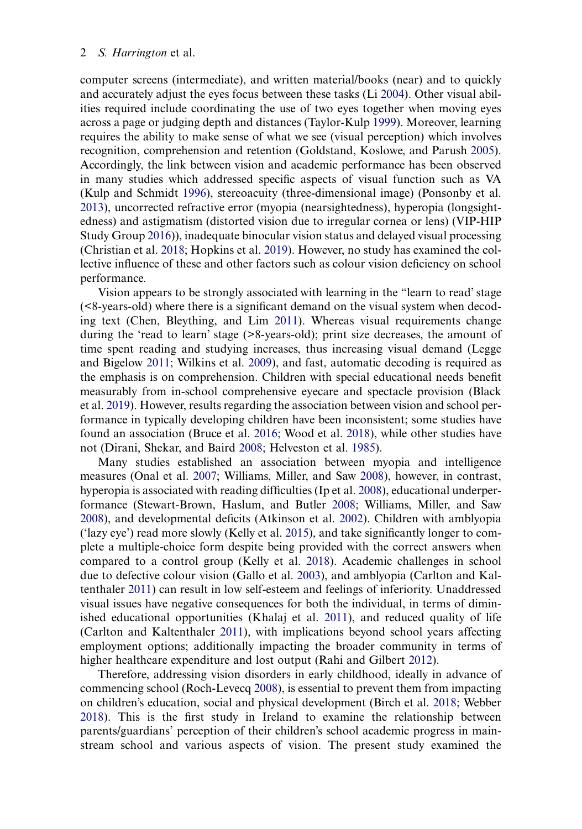<span id="page-3-21"></span><span id="page-3-16"></span><span id="page-3-14"></span><span id="page-3-9"></span>computer screens (intermediate), and written material/books (near) and to quickly and accurately adjust the eyes focus between these tasks (Li [2004\)](#page-20-0). Other visual abilities required include coordinating the use of two eyes together when moving eyes across a page or judging depth and distances (Taylor-Kulp [1999](#page-22-3)). Moreover, learning requires the ability to make sense of what we see (visual perception) which involves recognition, comprehension and retention (Goldstand, Koslowe, and Parush [2005](#page-19-1)). Accordingly, the link between vision and academic performance has been observed in many studies which addressed specific aspects of visual function such as VA (Kulp and Schmidt [1996\)](#page-20-1), stereoacuity (three-dimensional image) (Ponsonby et al. [2013](#page-21-2)), uncorrected refractive error (myopia (nearsightedness), hyperopia (longsightedness) and astigmatism (distorted vision due to irregular cornea or lens) (VIP-HIP Study Group [2016](#page-22-4))), inadequate binocular vision status and delayed visual processing (Christian et al. [2018;](#page-18-0) Hopkins et al. [2019\)](#page-20-2). However, no study has examined the collective influence of these and other factors such as colour vision deficiency on school performance.

<span id="page-3-22"></span><span id="page-3-15"></span><span id="page-3-6"></span><span id="page-3-5"></span>Vision appears to be strongly associated with learning in the "learn to read'stage (<8-years-old) where there is a significant demand on the visual system when decoding text (Chen, Bleything, and Lim [2011\)](#page-18-1). Whereas visual requirements change during the 'read to learn' stage (>8-years-old); print size decreases, the amount of time spent reading and studying increases, thus increasing visual demand (Legge and Bigelow [2011](#page-20-3); Wilkins et al. [2009\)](#page-23-0), and fast, automatic decoding is required as the emphasis is on comprehension. Children with special educational needs benefit measurably from in-school comprehensive eyecare and spectacle provision (Black et al. [2019](#page-18-2)). However, results regarding the association between vision and school performance in typically developing children have been inconsistent; some studies have found an association (Bruce et al. [2016](#page-18-3); Wood et al. [2018\)](#page-23-1), while other studies have not (Dirani, Shekar, and Baird [2008;](#page-19-2) Helveston et al. [1985](#page-19-3)).

<span id="page-3-20"></span><span id="page-3-17"></span><span id="page-3-12"></span><span id="page-3-11"></span><span id="page-3-10"></span><span id="page-3-8"></span><span id="page-3-7"></span><span id="page-3-3"></span><span id="page-3-2"></span><span id="page-3-0"></span>Many studies established an association between myopia and intelligence measures (Onal et al. [2007;](#page-21-3) Williams, Miller, and Saw [2008\)](#page-23-2), however, in contrast, hyperopia is associated with reading difficulties (Ip et al. [2008\)](#page-20-4), educational underperformance (Stewart-Brown, Haslum, and Butler [2008;](#page-22-5) Williams, Miller, and Saw [2008](#page-23-2)), and developmental deficits (Atkinson et al. [2002\)](#page-18-4). Children with amblyopia ('lazy eye') read more slowly (Kelly et al. [2015\)](#page-20-5), and take significantly longer to complete a multiple-choice form despite being provided with the correct answers when compared to a control group (Kelly et al. [2018\)](#page-20-6). Academic challenges in school due to defective colour vision (Gallo et al. [2003\)](#page-19-4), and amblyopia (Carlton and Kaltenthaler [2011\)](#page-18-5) can result in low self-esteem and feelings of inferiority. Unaddressed visual issues have negative consequences for both the individual, in terms of diminished educational opportunities (Khalaj et al. [2011](#page-20-7)), and reduced quality of life (Carlton and Kaltenthaler [2011\)](#page-18-5), with implications beyond school years affecting employment options; additionally impacting the broader community in terms of higher healthcare expenditure and lost output (Rahi and Gilbert [2012\)](#page-22-6).

<span id="page-3-19"></span><span id="page-3-18"></span><span id="page-3-13"></span><span id="page-3-4"></span><span id="page-3-1"></span>Therefore, addressing vision disorders in early childhood, ideally in advance of commencing school (Roch-Levecq [2008\)](#page-22-7), is essential to prevent them from impacting on children's education, social and physical development (Birch et al. [2018](#page-18-6); Webber [2018](#page-22-8)). This is the first study in Ireland to examine the relationship between parents/guardians' perception of their children's school academic progress in mainstream school and various aspects of vision. The present study examined the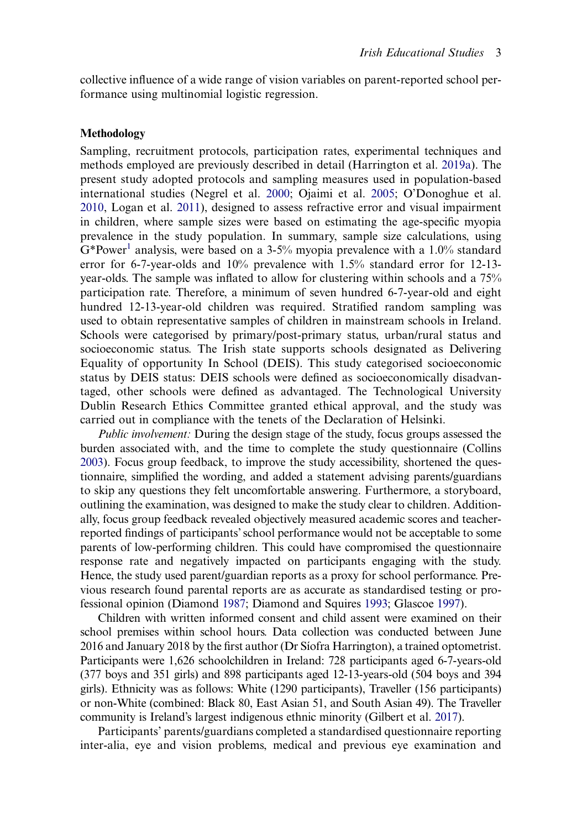collective influence of a wide range of vision variables on parent-reported school performance using multinomial logistic regression.

#### Methodology

<span id="page-4-5"></span><span id="page-4-4"></span><span id="page-4-3"></span>Sampling, recruitment protocols, participation rates, experimental techniques and methods employed are previously described in detail (Harrington et al. [2019a\)](#page-19-5). The present study adopted protocols and sampling measures used in population-based international studies (Negrel et al. [2000;](#page-21-4) Ojaimi et al. [2005;](#page-21-5) O'Donoghue et al. [2010](#page-21-6), Logan et al. [2011](#page-20-8)), designed to assess refractive error and visual impairment in children, where sample sizes were based on estimating the age-specific myopia prevalence in the study population. In summary, sample size calculations, using  $G^*$ Power<sup>1</sup> analysis, were based on a 3-5% myopia prevalence with a 1.0% standard error for 6-7-year-olds and 10% prevalence with 1.5% standard error for 12-13 year-olds. The sample was inflated to allow for clustering within schools and a 75% participation rate. Therefore, a minimum of seven hundred 6-7-year-old and eight hundred 12-13-year-old children was required. Stratified random sampling was used to obtain representative samples of children in mainstream schools in Ireland. Schools were categorised by primary/post-primary status, urban/rural status and socioeconomic status. The Irish state supports schools designated as Delivering Equality of opportunity In School (DEIS). This study categorised socioeconomic status by DEIS status: DEIS schools were defined as socioeconomically disadvantaged, other schools were defined as advantaged. The Technological University Dublin Research Ethics Committee granted ethical approval, and the study was carried out in compliance with the tenets of the Declaration of Helsinki.

<span id="page-4-0"></span>Public involvement: During the design stage of the study, focus groups assessed the burden associated with, and the time to complete the study questionnaire (Collins [2003\)](#page-18-7). Focus group feedback, to improve the study accessibility, shortened the questionnaire, simplified the wording, and added a statement advising parents/guardians to skip any questions they felt uncomfortable answering. Furthermore, a storyboard, outlining the examination, was designed to make the study clear to children. Additionally, focus group feedback revealed objectively measured academic scores and teacherreported findings of participants'school performance would not be acceptable to some parents of low-performing children. This could have compromised the questionnaire response rate and negatively impacted on participants engaging with the study. Hence, the study used parent/guardian reports as a proxy for school performance. Previous research found parental reports are as accurate as standardised testing or professional opinion (Diamond [1987](#page-19-6); Diamond and Squires [1993;](#page-19-7) Glascoe [1997](#page-19-8)).

<span id="page-4-1"></span>Children with written informed consent and child assent were examined on their school premises within school hours. Data collection was conducted between June 2016 and January 2018 by the first author (Dr Síofra Harrington), a trained optometrist. Participants were 1,626 schoolchildren in Ireland: 728 participants aged 6-7-years-old (377 boys and 351 girls) and 898 participants aged 12-13-years-old (504 boys and 394 girls). Ethnicity was as follows: White (1290 participants), Traveller (156 participants) or non-White (combined: Black 80, East Asian 51, and South Asian 49). The Traveller community is Ireland's largest indigenous ethnic minority (Gilbert et al. [2017](#page-19-9)).

<span id="page-4-2"></span>Participants' parents/guardians completed a standardised questionnaire reporting inter-alia, eye and vision problems, medical and previous eye examination and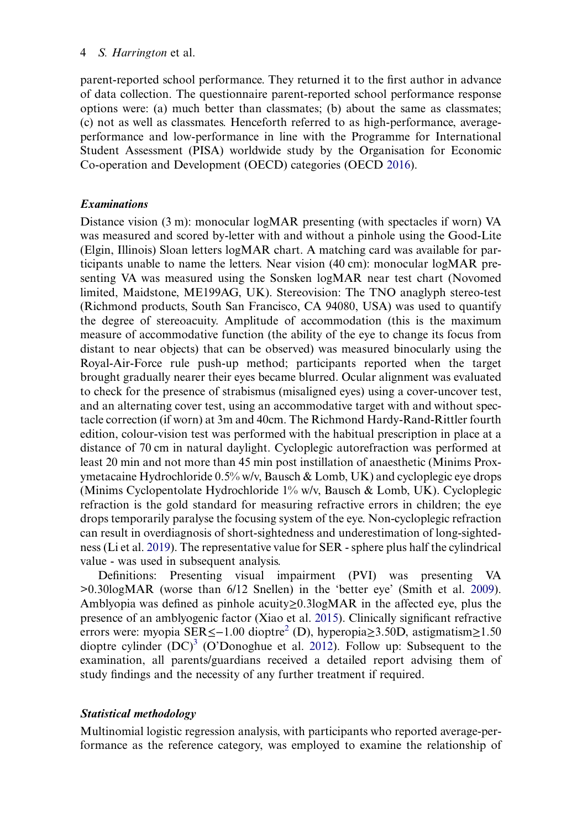parent-reported school performance. They returned it to the first author in advance of data collection. The questionnaire parent-reported school performance response options were: (a) much better than classmates; (b) about the same as classmates; (c) not as well as classmates. Henceforth referred to as high-performance, averageperformance and low-performance in line with the Programme for International Student Assessment (PISA) worldwide study by the Organisation for Economic Co-operation and Development (OECD) categories (OECD [2016](#page-21-7)).

#### <span id="page-5-2"></span>Examinations

Distance vision (3 m): monocular logMAR presenting (with spectacles if worn) VA was measured and scored by-letter with and without a pinhole using the Good-Lite (Elgin, Illinois) Sloan letters logMAR chart. A matching card was available for participants unable to name the letters. Near vision (40 cm): monocular logMAR presenting VA was measured using the Sonsken logMAR near test chart (Novomed limited, Maidstone, ME199AG, UK). Stereovision: The TNO anaglyph stereo-test (Richmond products, South San Francisco, CA 94080, USA) was used to quantify the degree of stereoacuity. Amplitude of accommodation (this is the maximum measure of accommodative function (the ability of the eye to change its focus from distant to near objects) that can be observed) was measured binocularly using the Royal-Air-Force rule push-up method; participants reported when the target brought gradually nearer their eyes became blurred. Ocular alignment was evaluated to check for the presence of strabismus (misaligned eyes) using a cover-uncover test, and an alternating cover test, using an accommodative target with and without spectacle correction (if worn) at 3m and 40cm. The Richmond Hardy-Rand-Rittler fourth edition, colour-vision test was performed with the habitual prescription in place at a distance of 70 cm in natural daylight. Cycloplegic autorefraction was performed at least 20 min and not more than 45 min post instillation of anaesthetic (Minims Proxymetacaine Hydrochloride  $0.5\%$  w/v, Bausch & Lomb, UK) and cycloplegic eye drops (Minims Cyclopentolate Hydrochloride 1% w/v, Bausch & Lomb, UK). Cycloplegic refraction is the gold standard for measuring refractive errors in children; the eye drops temporarily paralyse the focusing system of the eye. Non-cycloplegic refraction can result in overdiagnosis of short-sightedness and underestimation of long-sightedness (Li et al. [2019](#page-20-9)). The representative value for SER - sphere plus half the cylindrical value - was used in subsequent analysis.

<span id="page-5-4"></span><span id="page-5-3"></span><span id="page-5-1"></span><span id="page-5-0"></span>Definitions: Presenting visual impairment (PVI) was presenting VA >0.30logMAR (worse than 6/12 Snellen) in the 'better eye' (Smith et al. [2009](#page-22-9)). Amblyopia was defined as pinhole acuity≥0.3logMAR in the affected eye, plus the presence of an amblyogenic factor (Xiao et al. [2015\)](#page-23-3). Clinically significant refractive errors were: myopia SER≤−1.00 dioptr[e2](#page-17-1) (D), hyperopia≥3.50D, astigmatism≥1.50 dioptre cylinder  $(DC)^3$  $(DC)^3$  (O'Donoghue et al. [2012](#page-21-8)). Follow up: Subsequent to the examination, all parents/guardians received a detailed report advising them of study findings and the necessity of any further treatment if required.

#### Statistical methodology

Multinomial logistic regression analysis, with participants who reported average-performance as the reference category, was employed to examine the relationship of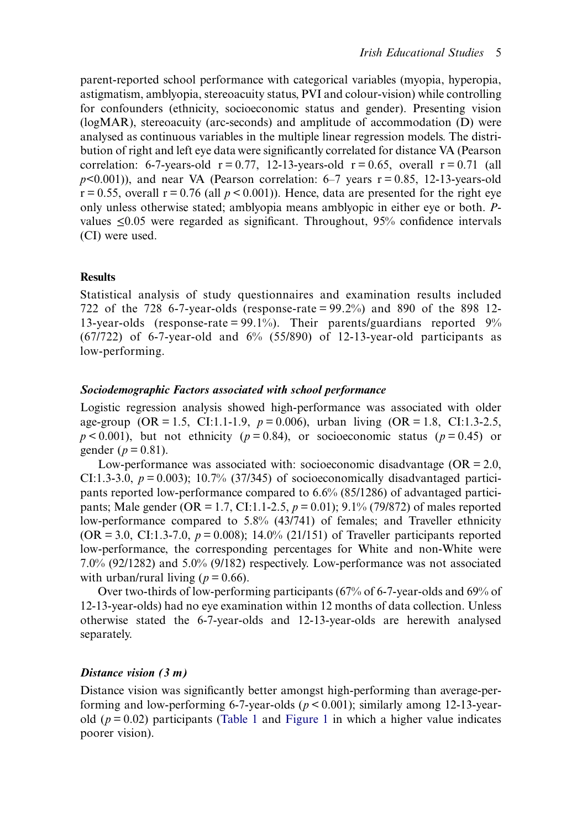parent-reported school performance with categorical variables (myopia, hyperopia, astigmatism, amblyopia, stereoacuity status, PVI and colour-vision) while controlling for confounders (ethnicity, socioeconomic status and gender). Presenting vision (logMAR), stereoacuity (arc-seconds) and amplitude of accommodation (D) were analysed as continuous variables in the multiple linear regression models. The distribution of right and left eye data were significantly correlated for distance VA (Pearson correlation: 6-7-years-old  $r = 0.77$ , 12-13-years-old  $r = 0.65$ , overall  $r = 0.71$  (all  $p<0.001$ ), and near VA (Pearson correlation: 6–7 years  $r = 0.85$ , 12-13-years-old  $r = 0.55$ , overall  $r = 0.76$  (all  $p < 0.001$ )). Hence, data are presented for the right eye only unless otherwise stated; amblyopia means amblyopic in either eye or both. Pvalues ≤0.05 were regarded as significant. Throughout, 95% confidence intervals (CI) were used.

#### **Results**

Statistical analysis of study questionnaires and examination results included 722 of the 728 6-7-year-olds (response-rate = 99.2%) and 890 of the 898 12- 13-year-olds (response-rate = 99.1%). Their parents/guardians reported 9% (67/722) of 6-7-year-old and  $6\%$  (55/890) of 12-13-year-old participants as low-performing.

#### Sociodemographic Factors associated with school performance

Logistic regression analysis showed high-performance was associated with older age-group (OR = 1.5, CI:1.1-1.9,  $p = 0.006$ ), urban living (OR = 1.8, CI:1.3-2.5,  $p < 0.001$ ), but not ethnicity ( $p = 0.84$ ), or socioeconomic status ( $p = 0.45$ ) or gender ( $p = 0.81$ ).

Low-performance was associated with: socioeconomic disadvantage  $(OR = 2.0,$ CI:1.3-3.0,  $p = 0.003$ ; 10.7% (37/345) of socioeconomically disadvantaged participants reported low-performance compared to 6.6% (85/1286) of advantaged participants; Male gender (OR = 1.7, CI:1.1-2.5,  $p = 0.01$ ); 9.1% (79/872) of males reported low-performance compared to 5.8% (43/741) of females; and Traveller ethnicity  $(OR = 3.0, CI:1.3-7.0, p = 0.008); 14.0% (21/151)$  of Traveller participants reported low-performance, the corresponding percentages for White and non-White were 7.0% (92/1282) and 5.0% (9/182) respectively. Low-performance was not associated with urban/rural living ( $p = 0.66$ ).

Over two-thirds of low-performing participants (67% of 6-7-year-olds and 69% of 12-13-year-olds) had no eye examination within 12 months of data collection. Unless otherwise stated the 6-7-year-olds and 12-13-year-olds are herewith analysed separately.

#### Distance vision (3 m)

Distance vision was significantly better amongst high-performing than average-performing and low-performing 6-7-year-olds ( $p < 0.001$ ); similarly among 12-13-yearold ( $p = 0.02$ ) participants [\(Table 1](#page-7-0) and [Figure 1](#page-7-1) in which a higher value indicates poorer vision).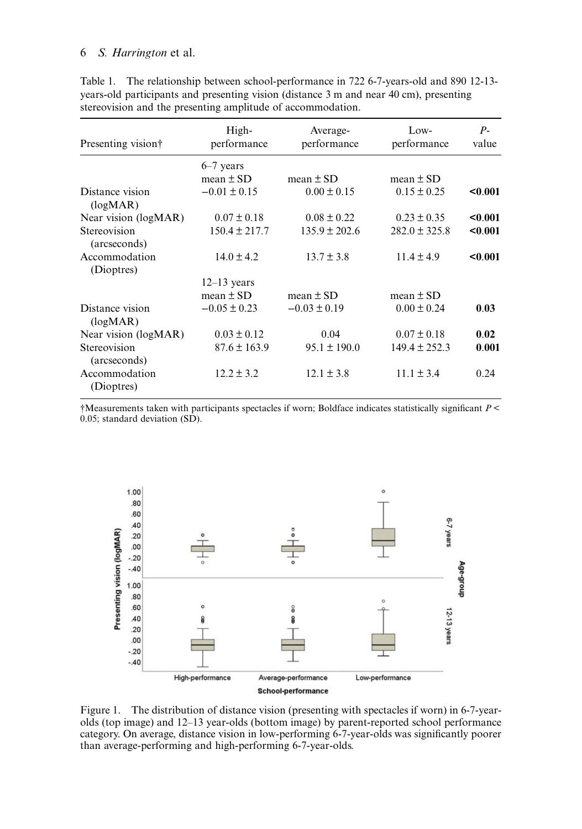| Presenting vision†                       | High-<br>performance | Average-<br>performance | Low-<br>performance | $P-$<br>value |
|------------------------------------------|----------------------|-------------------------|---------------------|---------------|
|                                          | $6-7$ years          |                         |                     |               |
|                                          | mean $\pm$ SD        | mean $\pm$ SD           | mean $\pm$ SD       |               |
| Distance vision<br>(log <sub>MAP</sub> ) | $-0.01 \pm 0.15$     | $0.00 \pm 0.15$         | $0.15 \pm 0.25$     | < 0.001       |
| Near vision (logMAR)                     | $0.07 \pm 0.18$      | $0.08 \pm 0.22$         | $0.23 \pm 0.35$     | < 0.001       |
| Stereovision<br>(arcseconds)             | $150.4 \pm 217.7$    | $135.9 \pm 202.6$       | $282.0 \pm 325.8$   | < 0.001       |
| Accommodation<br>(Dioptres)              | $14.0 \pm 4.2$       | $13.7 \pm 3.8$          | $11.4 \pm 4.9$      | < 0.001       |
|                                          | $12-13$ years        |                         |                     |               |
|                                          | mean $\pm$ SD        | mean $\pm$ SD           | mean $\pm$ SD       |               |
| Distance vision<br>(log <sub>MAR</sub> ) | $-0.05 \pm 0.23$     | $-0.03 \pm 0.19$        | $0.00 \pm 0.24$     | 0.03          |
| Near vision (logMAR)                     | $0.03 \pm 0.12$      | 0.04                    | $0.07 \pm 0.18$     | 0.02          |
| Stereovision<br>(arcseconds)             | $87.6 \pm 163.9$     | $95.1 \pm 190.0$        | $149.4 \pm 252.3$   | 0.001         |
| Accommodation<br>(Dioptres)              | $12.2 \pm 3.2$       | $12.1 \pm 3.8$          | $11.1 \pm 3.4$      | 0.24          |

<span id="page-7-0"></span>Table 1. The relationship between school-performance in 722 6-7-years-old and 890 12-13 years-old participants and presenting vision (distance 3 m and near 40 cm), presenting stereovision and the presenting amplitude of accommodation.

†Measurements taken with participants spectacles if worn; Boldface indicates statistically significant P < 0.05; standard deviation (SD).

<span id="page-7-1"></span>

Figure 1. The distribution of distance vision (presenting with spectacles if worn) in 6-7-yearolds (top image) and 12–13 year-olds (bottom image) by parent-reported school performance category. On average, distance vision in low-performing 6-7-year-olds was significantly poorer than average-performing and high-performing 6-7-year-olds.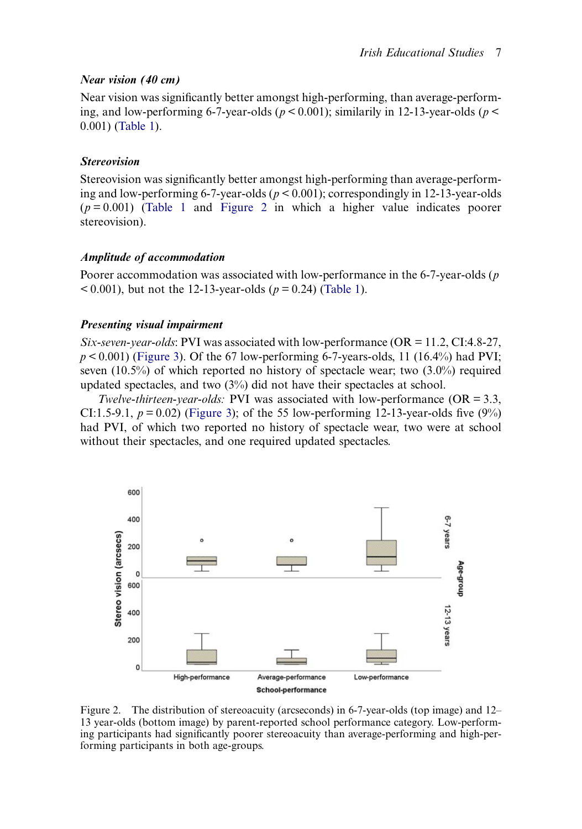#### Near vision (40 cm)

Near vision was significantly better amongst high-performing, than average-performing, and low-performing 6-7-year-olds ( $p < 0.001$ ); similarily in 12-13-year-olds ( $p <$ 0.001) [\(Table 1](#page-7-0)).

#### Stereovision

Stereovision was significantly better amongst high-performing than average-performing and low-performing 6-7-year-olds ( $p < 0.001$ ); correspondingly in 12-13-year-olds  $(p=0.001)$  [\(Table 1](#page-7-0) and [Figure 2](#page-8-0) in which a higher value indicates poorer stereovision).

#### Amplitude of accommodation

Poorer accommodation was associated with low-performance in the 6-7-year-olds ( $p$ )  $(0.001)$ , but not the 12-13-year-olds ( $p = 0.24$ ) ([Table 1\)](#page-7-0).

#### Presenting visual impairment

Six-seven-year-olds: PVI was associated with low-performance ( $OR = 11.2$ , CI:4.8-27,  $p < 0.001$ ) ([Figure 3\)](#page-9-0). Of the 67 low-performing 6-7-years-olds, 11 (16.4%) had PVI; seven (10.5%) of which reported no history of spectacle wear; two (3.0%) required updated spectacles, and two (3%) did not have their spectacles at school.

Twelve-thirteen-year-olds: PVI was associated with low-performance ( $OR = 3.3$ , CI:1.5-9.1,  $p = 0.02$ ) [\(Figure 3](#page-9-0)); of the 55 low-performing 12-13-year-olds five (9%) had PVI, of which two reported no history of spectacle wear, two were at school without their spectacles, and one required updated spectacles.

<span id="page-8-0"></span>

Figure 2. The distribution of stereoacuity (arcseconds) in 6-7-year-olds (top image) and 12– 13 year-olds (bottom image) by parent-reported school performance category. Low-performing participants had significantly poorer stereoacuity than average-performing and high-performing participants in both age-groups.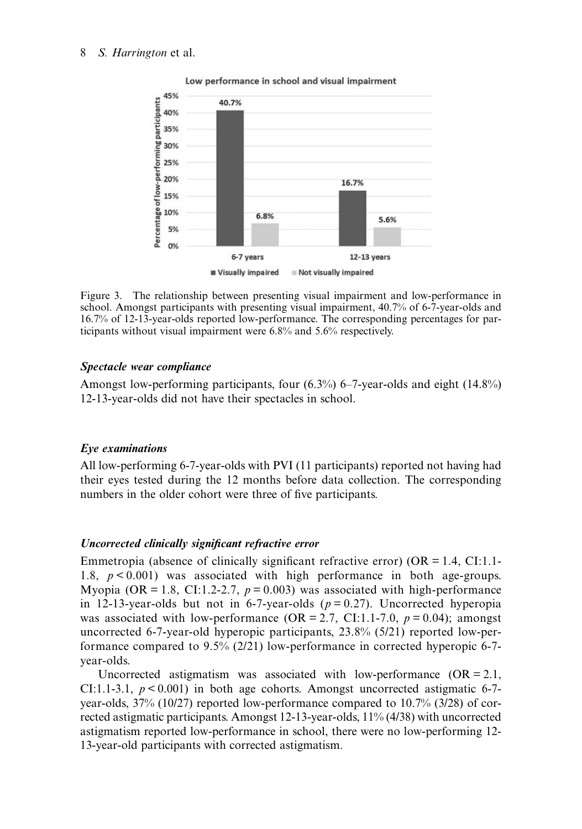<span id="page-9-0"></span>

Low performance in school and visual impairment

Figure 3. The relationship between presenting visual impairment and low-performance in school. Amongst participants with presenting visual impairment, 40.7% of 6-7-year-olds and 16.7% of 12-13-year-olds reported low-performance. The corresponding percentages for participants without visual impairment were 6.8% and 5.6% respectively.

#### Spectacle wear compliance

Amongst low-performing participants, four (6.3%) 6–7-year-olds and eight (14.8%) 12-13-year-olds did not have their spectacles in school.

#### Eye examinations

All low-performing 6-7-year-olds with PVI (11 participants) reported not having had their eyes tested during the 12 months before data collection. The corresponding numbers in the older cohort were three of five participants.

#### Uncorrected clinically significant refractive error

Emmetropia (absence of clinically significant refractive error)  $(OR = 1.4, CI:1.1$ -1.8,  $p < 0.001$ ) was associated with high performance in both age-groups. Myopia (OR = 1.8, CI:1.2-2.7,  $p = 0.003$ ) was associated with high-performance in 12-13-year-olds but not in 6-7-year-olds  $(p = 0.27)$ . Uncorrected hyperopia was associated with low-performance (OR = 2.7, CI:1.1-7.0,  $p = 0.04$ ); amongst uncorrected 6-7-year-old hyperopic participants, 23.8% (5/21) reported low-performance compared to 9.5% (2/21) low-performance in corrected hyperopic 6-7 year-olds.

Uncorrected astigmatism was associated with low-performance  $(OR = 2.1,$ CI:1.1-3.1,  $p < 0.001$ ) in both age cohorts. Amongst uncorrected astigmatic 6-7year-olds, 37% (10/27) reported low-performance compared to 10.7% (3/28) of corrected astigmatic participants. Amongst 12-13-year-olds, 11% (4/38) with uncorrected astigmatism reported low-performance in school, there were no low-performing 12- 13-year-old participants with corrected astigmatism.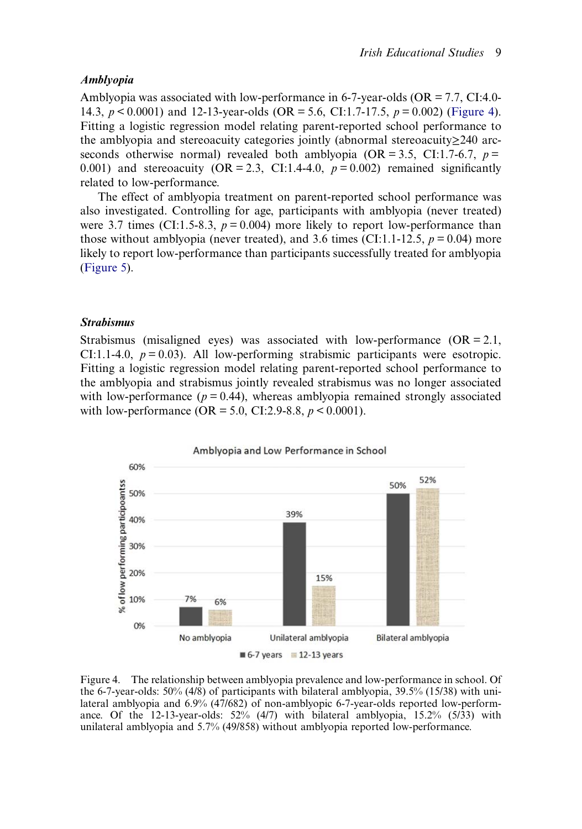#### Amblyopia

Amblyopia was associated with low-performance in 6-7-year-olds ( $OR = 7.7$ , CI:4.0-14.3,  $p \le 0.0001$ ) and 12-13-year-olds (OR = 5.6, CI:1.7-17.5,  $p = 0.002$ ) [\(Figure 4](#page-10-0)). Fitting a logistic regression model relating parent-reported school performance to the amblyopia and stereoacuity categories jointly (abnormal stereoacuity≥240 arcseconds otherwise normal) revealed both amblyopia (OR = 3.5, CI:1.7-6.7,  $p =$ 0.001) and stereoacuity (OR = 2.3, CI:1.4-4.0,  $p = 0.002$ ) remained significantly related to low-performance.

The effect of amblyopia treatment on parent-reported school performance was also investigated. Controlling for age, participants with amblyopia (never treated) were 3.7 times (CI:1.5-8.3,  $p = 0.004$ ) more likely to report low-performance than those without amblyopia (never treated), and 3.6 times (CI:1.1-12.5,  $p = 0.04$ ) more likely to report low-performance than participants successfully treated for amblyopia [\(Figure 5](#page-11-0)).

#### Strabismus

Strabismus (misaligned eyes) was associated with low-performance  $(OR = 2.1,$ CI:1.1-4.0,  $p = 0.03$ ). All low-performing strabismic participants were esotropic. Fitting a logistic regression model relating parent-reported school performance to the amblyopia and strabismus jointly revealed strabismus was no longer associated with low-performance ( $p = 0.44$ ), whereas amblyopia remained strongly associated with low-performance (OR = 5.0, CI:2.9-8.8,  $p < 0.0001$ ).

<span id="page-10-0"></span>

Figure 4. The relationship between amblyopia prevalence and low-performance in school. Of the 6-7-year-olds: 50% (4/8) of participants with bilateral amblyopia, 39.5% (15/38) with unilateral amblyopia and 6.9% (47/682) of non-amblyopic 6-7-year-olds reported low-performance. Of the 12-13-year-olds: 52% (4/7) with bilateral amblyopia, 15.2% (5/33) with unilateral amblyopia and 5.7% (49/858) without amblyopia reported low-performance.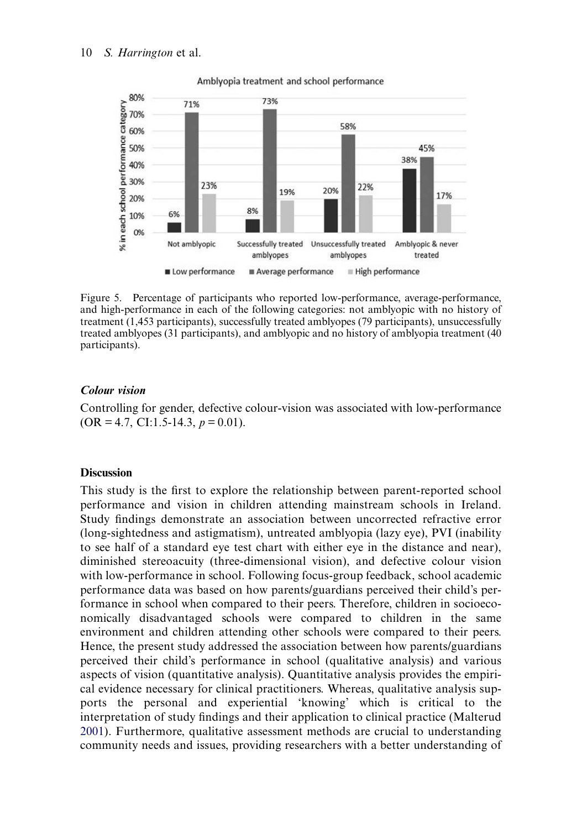<span id="page-11-0"></span>

Amblyopia treatment and school performance

Figure 5. Percentage of participants who reported low-performance, average-performance, and high-performance in each of the following categories: not amblyopic with no history of treatment (1,453 participants), successfully treated amblyopes (79 participants), unsuccessfully treated amblyopes (31 participants), and amblyopic and no history of amblyopia treatment (40 participants).

#### Colour vision

Controlling for gender, defective colour-vision was associated with low-performance  $(OR = 4.7, CI: 1.5-14.3, p = 0.01).$ 

#### **Discussion**

<span id="page-11-1"></span>This study is the first to explore the relationship between parent-reported school performance and vision in children attending mainstream schools in Ireland. Study findings demonstrate an association between uncorrected refractive error (long-sightedness and astigmatism), untreated amblyopia (lazy eye), PVI (inability to see half of a standard eye test chart with either eye in the distance and near), diminished stereoacuity (three-dimensional vision), and defective colour vision with low-performance in school. Following focus-group feedback, school academic performance data was based on how parents/guardians perceived their child's performance in school when compared to their peers. Therefore, children in socioeconomically disadvantaged schools were compared to children in the same environment and children attending other schools were compared to their peers. Hence, the present study addressed the association between how parents/guardians perceived their child's performance in school (qualitative analysis) and various aspects of vision (quantitative analysis). Quantitative analysis provides the empirical evidence necessary for clinical practitioners. Whereas, qualitative analysis supports the personal and experiential 'knowing' which is critical to the interpretation of study findings and their application to clinical practice (Malterud [2001](#page-20-10)). Furthermore, qualitative assessment methods are crucial to understanding community needs and issues, providing researchers with a better understanding of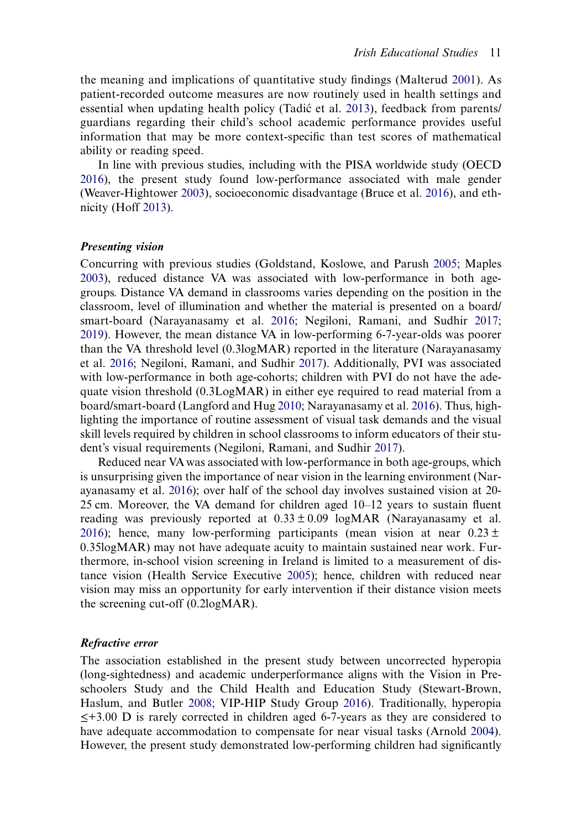<span id="page-12-6"></span>the meaning and implications of quantitative study findings (Malterud [2001\)](#page-20-10). As patient-recorded outcome measures are now routinely used in health settings and essential when updating health policy (Tadićet al. [2013\)](#page-22-10), feedback from parents/ guardians regarding their child's school academic performance provides useful information that may be more context-specific than test scores of mathematical ability or reading speed.

<span id="page-12-7"></span><span id="page-12-2"></span>In line with previous studies, including with the PISA worldwide study (OECD [2016](#page-21-7)), the present study found low-performance associated with male gender (Weaver-Hightower [2003\)](#page-22-11), socioeconomic disadvantage (Bruce et al. [2016\)](#page-18-3), and ethnicity (Hoff [2013](#page-19-10)).

#### <span id="page-12-4"></span>Presenting vision

<span id="page-12-5"></span>Concurring with previous studies (Goldstand, Koslowe, and Parush [2005](#page-19-1); Maples [2003](#page-20-11)), reduced distance VA was associated with low-performance in both agegroups. Distance VA demand in classrooms varies depending on the position in the classroom, level of illumination and whether the material is presented on a board/ smart-board (Narayanasamy et al. [2016;](#page-21-0) Negiloni, Ramani, and Sudhir [2017](#page-21-1); [2019](#page-21-9)). However, the mean distance VA in low-performing 6-7-year-olds was poorer than the VA threshold level (0.3logMAR) reported in the literature (Narayanasamy et al. [2016;](#page-21-0) Negiloni, Ramani, and Sudhir [2017](#page-21-1)). Additionally, PVI was associated with low-performance in both age-cohorts; children with PVI do not have the adequate vision threshold (0.3LogMAR) in either eye required to read material from a board/smart-board (Langford and Hug [2010;](#page-20-12) Narayanasamy et al. [2016](#page-21-0)). Thus, highlighting the importance of routine assessment of visual task demands and the visual skill levels required by children in school classrooms to inform educators of their student's visual requirements (Negiloni, Ramani, and Sudhir [2017\)](#page-21-1).

<span id="page-12-3"></span>Reduced near VA was associated with low-performance in both age-groups, which is unsurprising given the importance of near vision in the learning environment (Narayanasamy et al. [2016](#page-21-0)); over half of the school day involves sustained vision at 20- 25 cm. Moreover, the VA demand for children aged 10–12 years to sustain fluent reading was previously reported at  $0.33 \pm 0.09$  logMAR (Narayanasamy et al. [2016](#page-21-0)); hence, many low-performing participants (mean vision at near  $0.23 \pm$ 0.35logMAR) may not have adequate acuity to maintain sustained near work. Furthermore, in-school vision screening in Ireland is limited to a measurement of distance vision (Health Service Executive [2005](#page-19-11)); hence, children with reduced near vision may miss an opportunity for early intervention if their distance vision meets the screening cut-off (0.2logMAR).

#### <span id="page-12-1"></span>Refractive error

<span id="page-12-0"></span>The association established in the present study between uncorrected hyperopia (long-sightedness) and academic underperformance aligns with the Vision in Preschoolers Study and the Child Health and Education Study (Stewart-Brown, Haslum, and Butler [2008;](#page-22-5) VIP-HIP Study Group [2016](#page-22-4)). Traditionally, hyperopia ≤+3.00 D is rarely corrected in children aged 6-7-years as they are considered to have adequate accommodation to compensate for near visual tasks (Arnold [2004](#page-18-8)). However, the present study demonstrated low-performing children had significantly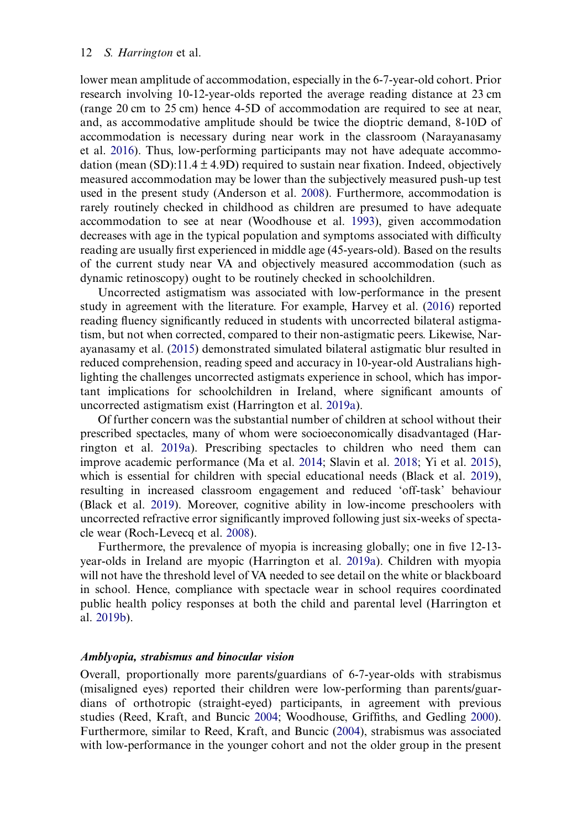<span id="page-13-0"></span>lower mean amplitude of accommodation, especially in the 6-7-year-old cohort. Prior research involving 10-12-year-olds reported the average reading distance at 23 cm (range 20 cm to 25 cm) hence 4-5D of accommodation are required to see at near, and, as accommodative amplitude should be twice the dioptric demand, 8-10D of accommodation is necessary during near work in the classroom (Narayanasamy et al. [2016\)](#page-21-0). Thus, low-performing participants may not have adequate accommodation (mean (SD):11.4  $\pm$  4.9D) required to sustain near fixation. Indeed, objectively measured accommodation may be lower than the subjectively measured push-up test used in the present study (Anderson et al. [2008](#page-18-9)). Furthermore, accommodation is rarely routinely checked in childhood as children are presumed to have adequate accommodation to see at near (Woodhouse et al. [1993\)](#page-23-4), given accommodation decreases with age in the typical population and symptoms associated with difficulty reading are usually first experienced in middle age (45-years-old). Based on the results of the current study near VA and objectively measured accommodation (such as dynamic retinoscopy) ought to be routinely checked in schoolchildren.

<span id="page-13-8"></span><span id="page-13-4"></span><span id="page-13-2"></span>Uncorrected astigmatism was associated with low-performance in the present study in agreement with the literature. For example, Harvey et al. ([2016\)](#page-19-12) reported reading fluency significantly reduced in students with uncorrected bilateral astigmatism, but not when corrected, compared to their non-astigmatic peers. Likewise, Narayanasamy et al. [\(2015](#page-21-10)) demonstrated simulated bilateral astigmatic blur resulted in reduced comprehension, reading speed and accuracy in 10-year-old Australians highlighting the challenges uncorrected astigmats experience in school, which has important implications for schoolchildren in Ireland, where significant amounts of uncorrected astigmatism exist (Harrington et al. [2019a\)](#page-19-5).

<span id="page-13-3"></span>Of further concern was the substantial number of children at school without their prescribed spectacles, many of whom were socioeconomically disadvantaged (Harrington et al. [2019a\)](#page-19-5). Prescribing spectacles to children who need them can improve academic performance (Ma et al. [2014](#page-20-13); Slavin et al. [2018](#page-22-12); Yi et al. [2015](#page-23-5)), which is essential for children with special educational needs (Black et al. [2019](#page-18-2)), resulting in increased classroom engagement and reduced 'off-task' behaviour (Black et al. [2019\)](#page-18-2). Moreover, cognitive ability in low-income preschoolers with uncorrected refractive error significantly improved following just six-weeks of spectacle wear (Roch-Levecq et al. [2008\)](#page-22-13).

<span id="page-13-6"></span>Furthermore, the prevalence of myopia is increasing globally; one in five 12-13 year-olds in Ireland are myopic (Harrington et al. [2019a\)](#page-19-5). Children with myopia will not have the threshold level of VA needed to see detail on the white or blackboard in school. Hence, compliance with spectacle wear in school requires coordinated public health policy responses at both the child and parental level (Harrington et al. [2019b\)](#page-19-13).

#### <span id="page-13-1"></span>Amblyopia, strabismus and binocular vision

<span id="page-13-7"></span><span id="page-13-5"></span>Overall, proportionally more parents/guardians of 6-7-year-olds with strabismus (misaligned eyes) reported their children were low-performing than parents/guardians of orthotropic (straight-eyed) participants, in agreement with previous studies (Reed, Kraft, and Buncic [2004;](#page-22-14) Woodhouse, Griffiths, and Gedling [2000](#page-23-6)). Furthermore, similar to Reed, Kraft, and Buncic [\(2004](#page-22-14)), strabismus was associated with low-performance in the younger cohort and not the older group in the present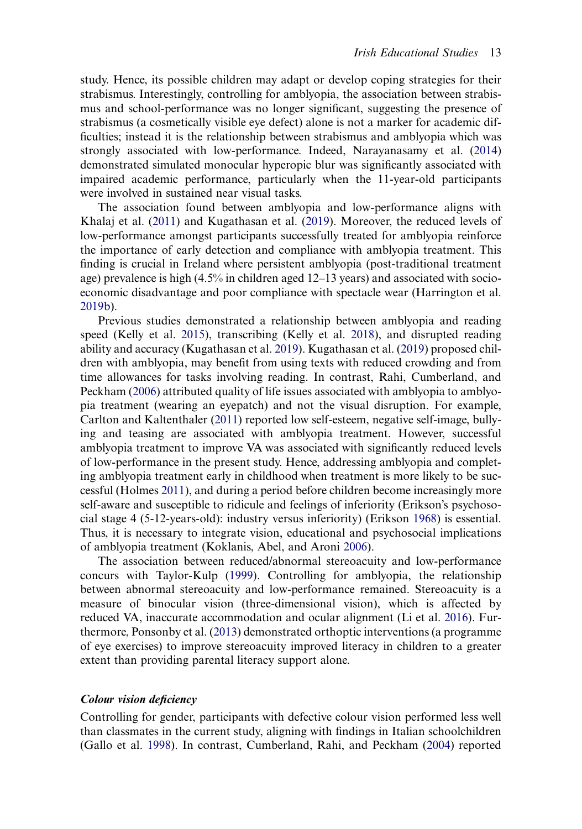<span id="page-14-6"></span>study. Hence, its possible children may adapt or develop coping strategies for their strabismus. Interestingly, controlling for amblyopia, the association between strabismus and school-performance was no longer significant, suggesting the presence of strabismus (a cosmetically visible eye defect) alone is not a marker for academic difficulties; instead it is the relationship between strabismus and amblyopia which was strongly associated with low-performance. Indeed, Narayanasamy et al. ([2014\)](#page-21-11) demonstrated simulated monocular hyperopic blur was significantly associated with impaired academic performance, particularly when the 11-year-old participants were involved in sustained near visual tasks.

The association found between amblyopia and low-performance aligns with Khalaj et al. [\(2011](#page-20-7)) and Kugathasan et al. [\(2019](#page-20-14)). Moreover, the reduced levels of low-performance amongst participants successfully treated for amblyopia reinforce the importance of early detection and compliance with amblyopia treatment. This finding is crucial in Ireland where persistent amblyopia (post-traditional treatment age) prevalence is high (4.5% in children aged 12–13 years) and associated with socioeconomic disadvantage and poor compliance with spectacle wear (Harrington et al. [2019b\)](#page-19-13).

<span id="page-14-8"></span><span id="page-14-4"></span>Previous studies demonstrated a relationship between amblyopia and reading speed (Kelly et al. [2015\)](#page-20-5), transcribing (Kelly et al. [2018\)](#page-20-6), and disrupted reading ability and accuracy (Kugathasan et al. [2019\)](#page-20-14). Kugathasan et al. ([2019\)](#page-20-14) proposed children with amblyopia, may benefit from using texts with reduced crowding and from time allowances for tasks involving reading. In contrast, Rahi, Cumberland, and Peckham ([2006\)](#page-22-15) attributed quality of life issues associated with amblyopia to amblyopia treatment (wearing an eyepatch) and not the visual disruption. For example, Carlton and Kaltenthaler [\(2011\)](#page-18-5) reported low self-esteem, negative self-image, bullying and teasing are associated with amblyopia treatment. However, successful amblyopia treatment to improve VA was associated with significantly reduced levels of low-performance in the present study. Hence, addressing amblyopia and completing amblyopia treatment early in childhood when treatment is more likely to be successful (Holmes [2011\)](#page-19-14), and during a period before children become increasingly more self-aware and susceptible to ridicule and feelings of inferiority (Erikson's psychosocial stage 4 (5-12-years-old): industry versus inferiority) (Erikson [1968](#page-19-15)) is essential. Thus, it is necessary to integrate vision, educational and psychosocial implications of amblyopia treatment (Koklanis, Abel, and Aroni [2006](#page-20-15)).

<span id="page-14-7"></span><span id="page-14-5"></span><span id="page-14-3"></span><span id="page-14-2"></span><span id="page-14-1"></span>The association between reduced/abnormal stereoacuity and low-performance concurs with Taylor-Kulp ([1999\)](#page-22-3). Controlling for amblyopia, the relationship between abnormal stereoacuity and low-performance remained. Stereoacuity is a measure of binocular vision (three-dimensional vision), which is affected by reduced VA, inaccurate accommodation and ocular alignment (Li et al. [2016\)](#page-20-16). Furthermore, Ponsonby et al. [\(2013](#page-21-12)) demonstrated orthoptic interventions (a programme of eye exercises) to improve stereoacuity improved literacy in children to a greater extent than providing parental literacy support alone.

#### Colour vision deficiency

<span id="page-14-0"></span>Controlling for gender, participants with defective colour vision performed less well than classmates in the current study, aligning with findings in Italian schoolchildren (Gallo et al. [1998\)](#page-19-16). In contrast, Cumberland, Rahi, and Peckham ([2004\)](#page-18-10) reported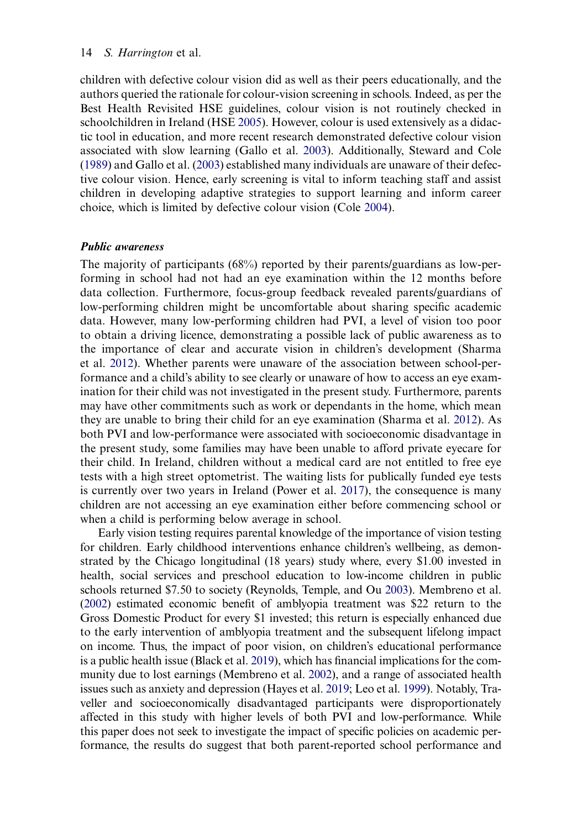<span id="page-15-6"></span>children with defective colour vision did as well as their peers educationally, and the authors queried the rationale for colour-vision screening in schools. Indeed, as per the Best Health Revisited HSE guidelines, colour vision is not routinely checked in schoolchildren in Ireland (HSE [2005\)](#page-19-11). However, colour is used extensively as a didactic tool in education, and more recent research demonstrated defective colour vision associated with slow learning (Gallo et al. [2003](#page-19-4)). Additionally, Steward and Cole [\(1989](#page-22-16)) and Gallo et al. ([2003\)](#page-19-4) established many individuals are unaware of their defective colour vision. Hence, early screening is vital to inform teaching staff and assist children in developing adaptive strategies to support learning and inform career choice, which is limited by defective colour vision (Cole [2004\)](#page-18-11).

#### <span id="page-15-0"></span>Public awareness

The majority of participants (68%) reported by their parents/guardians as low-performing in school had not had an eye examination within the 12 months before data collection. Furthermore, focus-group feedback revealed parents/guardians of low-performing children might be uncomfortable about sharing specific academic data. However, many low-performing children had PVI, a level of vision too poor to obtain a driving licence, demonstrating a possible lack of public awareness as to the importance of clear and accurate vision in children's development (Sharma et al. [2012](#page-22-17)). Whether parents were unaware of the association between school-performance and a child's ability to see clearly or unaware of how to access an eye examination for their child was not investigated in the present study. Furthermore, parents may have other commitments such as work or dependants in the home, which mean they are unable to bring their child for an eye examination (Sharma et al. [2012\)](#page-22-17). As both PVI and low-performance were associated with socioeconomic disadvantage in the present study, some families may have been unable to afford private eyecare for their child. In Ireland, children without a medical card are not entitled to free eye tests with a high street optometrist. The waiting lists for publically funded eye tests is currently over two years in Ireland (Power et al. [2017\)](#page-21-13), the consequence is many children are not accessing an eye examination either before commencing school or when a child is performing below average in school.

<span id="page-15-5"></span><span id="page-15-4"></span><span id="page-15-3"></span><span id="page-15-2"></span><span id="page-15-1"></span>Early vision testing requires parental knowledge of the importance of vision testing for children. Early childhood interventions enhance children's wellbeing, as demonstrated by the Chicago longitudinal (18 years) study where, every \$1.00 invested in health, social services and preschool education to low-income children in public schools returned \$7.50 to society (Reynolds, Temple, and Ou [2003](#page-22-18)). Membreno et al. [\(2002\)](#page-21-14) estimated economic benefit of amblyopia treatment was \$22 return to the Gross Domestic Product for every \$1 invested; this return is especially enhanced due to the early intervention of amblyopia treatment and the subsequent lifelong impact on income. Thus, the impact of poor vision, on children's educational performance is a public health issue (Black et al. [2019](#page-18-2)), which has financial implications for the community due to lost earnings (Membreno et al. [2002](#page-21-14)), and a range of associated health issues such as anxiety and depression (Hayes et al. [2019;](#page-19-17) Leo et al. [1999](#page-20-17)). Notably, Traveller and socioeconomically disadvantaged participants were disproportionately affected in this study with higher levels of both PVI and low-performance. While this paper does not seek to investigate the impact of specific policies on academic performance, the results do suggest that both parent-reported school performance and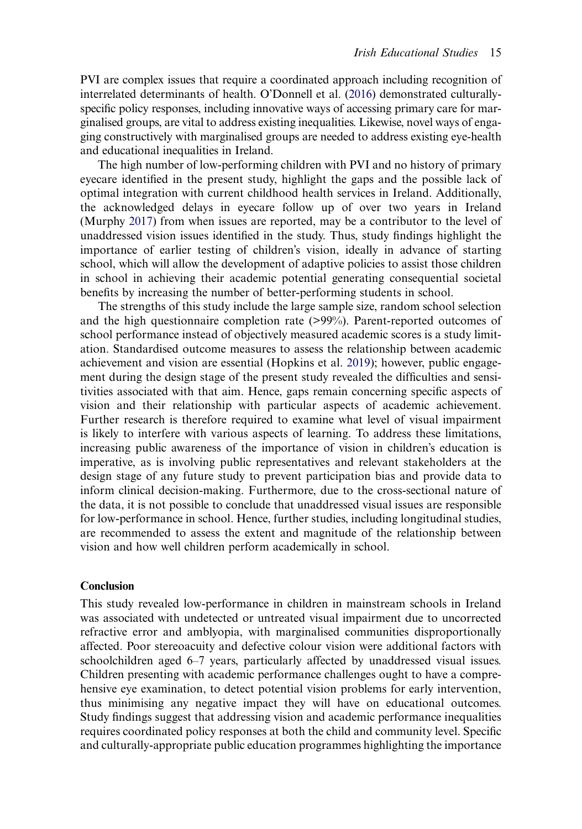<span id="page-16-2"></span>PVI are complex issues that require a coordinated approach including recognition of interrelated determinants of health. O'Donnell et al. ([2016](#page-21-15)) demonstrated culturallyspecific policy responses, including innovative ways of accessing primary care for marginalised groups, are vital to address existing inequalities. Likewise, novel ways of engaging constructively with marginalised groups are needed to address existing eye-health and educational inequalities in Ireland.

<span id="page-16-1"></span>The high number of low-performing children with PVI and no history of primary eyecare identified in the present study, highlight the gaps and the possible lack of optimal integration with current childhood health services in Ireland. Additionally, the acknowledged delays in eyecare follow up of over two years in Ireland (Murphy [2017](#page-21-16)) from when issues are reported, may be a contributor to the level of unaddressed vision issues identified in the study. Thus, study findings highlight the importance of earlier testing of children's vision, ideally in advance of starting school, which will allow the development of adaptive policies to assist those children in school in achieving their academic potential generating consequential societal benefits by increasing the number of better-performing students in school.

<span id="page-16-0"></span>The strengths of this study include the large sample size, random school selection and the high questionnaire completion rate (>99%). Parent-reported outcomes of school performance instead of objectively measured academic scores is a study limitation. Standardised outcome measures to assess the relationship between academic achievement and vision are essential (Hopkins et al. [2019](#page-20-18)); however, public engagement during the design stage of the present study revealed the difficulties and sensitivities associated with that aim. Hence, gaps remain concerning specific aspects of vision and their relationship with particular aspects of academic achievement. Further research is therefore required to examine what level of visual impairment is likely to interfere with various aspects of learning. To address these limitations, increasing public awareness of the importance of vision in children's education is imperative, as is involving public representatives and relevant stakeholders at the design stage of any future study to prevent participation bias and provide data to inform clinical decision-making. Furthermore, due to the cross-sectional nature of the data, it is not possible to conclude that unaddressed visual issues are responsible for low-performance in school. Hence, further studies, including longitudinal studies, are recommended to assess the extent and magnitude of the relationship between vision and how well children perform academically in school.

#### Conclusion

This study revealed low-performance in children in mainstream schools in Ireland was associated with undetected or untreated visual impairment due to uncorrected refractive error and amblyopia, with marginalised communities disproportionally affected. Poor stereoacuity and defective colour vision were additional factors with schoolchildren aged 6–7 years, particularly affected by unaddressed visual issues. Children presenting with academic performance challenges ought to have a comprehensive eye examination, to detect potential vision problems for early intervention, thus minimising any negative impact they will have on educational outcomes. Study findings suggest that addressing vision and academic performance inequalities requires coordinated policy responses at both the child and community level. Specific and culturally-appropriate public education programmes highlighting the importance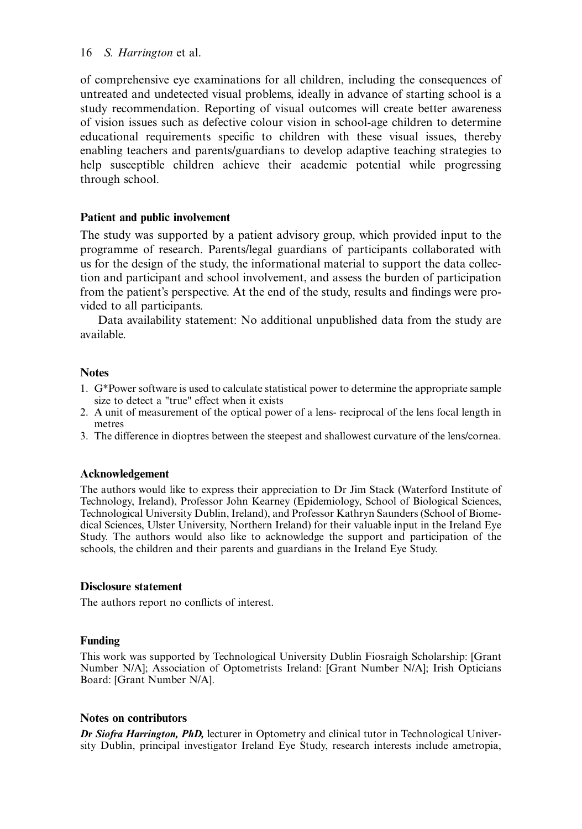of comprehensive eye examinations for all children, including the consequences of untreated and undetected visual problems, ideally in advance of starting school is a study recommendation. Reporting of visual outcomes will create better awareness of vision issues such as defective colour vision in school-age children to determine educational requirements specific to children with these visual issues, thereby enabling teachers and parents/guardians to develop adaptive teaching strategies to help susceptible children achieve their academic potential while progressing through school.

#### Patient and public involvement

The study was supported by a patient advisory group, which provided input to the programme of research. Parents/legal guardians of participants collaborated with us for the design of the study, the informational material to support the data collection and participant and school involvement, and assess the burden of participation from the patient's perspective. At the end of the study, results and findings were provided to all participants.

Data availability statement: No additional unpublished data from the study are available.

#### **Notes**

- <span id="page-17-0"></span>1. G\*Power software is used to calculate statistical power to determine the appropriate sample size to detect a "true" effect when it exists
- <span id="page-17-1"></span>2. A unit of measurement of the optical power of a lens- reciprocal of the lens focal length in metres
- <span id="page-17-2"></span>3. The difference in dioptres between the steepest and shallowest curvature of the lens/cornea.

#### Acknowledgement

The authors would like to express their appreciation to Dr Jim Stack (Waterford Institute of Technology, Ireland), Professor John Kearney (Epidemiology, School of Biological Sciences, Technological University Dublin, Ireland), and Professor Kathryn Saunders (School of Biomedical Sciences, Ulster University, Northern Ireland) for their valuable input in the Ireland Eye Study. The authors would also like to acknowledge the support and participation of the schools, the children and their parents and guardians in the Ireland Eye Study.

#### Disclosure statement

The authors report no conflicts of interest.

#### Funding

This work was supported by Technological University Dublin Fiosraigh Scholarship: [Grant Number N/A]; Association of Optometrists Ireland: [Grant Number N/A]; Irish Opticians Board: [Grant Number N/A].

#### Notes on contributors

Dr Siofra Harrington, PhD, lecturer in Optometry and clinical tutor in Technological University Dublin, principal investigator Ireland Eye Study, research interests include ametropia,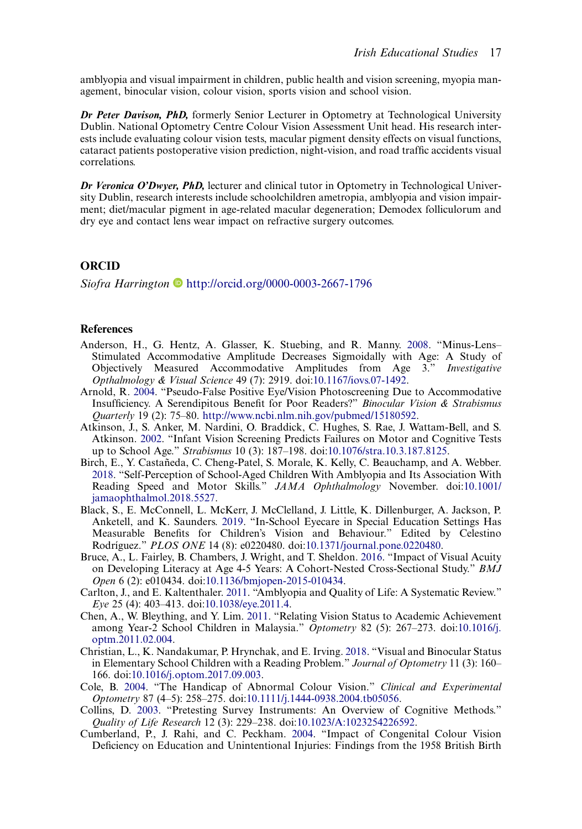amblyopia and visual impairment in children, public health and vision screening, myopia management, binocular vision, colour vision, sports vision and school vision.

Dr Peter Davison, PhD, formerly Senior Lecturer in Optometry at Technological University Dublin. National Optometry Centre Colour Vision Assessment Unit head. His research interests include evaluating colour vision tests, macular pigment density effects on visual functions, cataract patients postoperative vision prediction, night-vision, and road traffic accidents visual correlations.

Dr Veronica O'Dwyer, PhD, lecturer and clinical tutor in Optometry in Technological University Dublin, research interests include schoolchildren ametropia, amblyopia and vision impairment; diet/macular pigment in age-related macular degeneration; Demodex folliculorum and dry eye and contact lens wear impact on refractive surgery outcomes.

#### **ORCID**

Siofra Harrington <http://orcid.org/0000-0003-2667-1796>

#### **References**

- <span id="page-18-9"></span>Anderson, H., G. Hentz, A. Glasser, K. Stuebing, and R. Manny. [2008](#page-13-0). "Minus-Lens– Stimulated Accommodative Amplitude Decreases Sigmoidally with Age: A Study of Objectively Measured Accommodative Amplitudes from Age 3." Investigative Opthalmology & Visual Science 49 (7): 2919. doi[:10.1167/iovs.07-1492](https://doi.org/10.1167/iovs.07-1492).
- <span id="page-18-8"></span>Arnold, R. [2004](#page-12-0). "Pseudo-False Positive Eye/Vision Photoscreening Due to Accommodative Insufficiency. A Serendipitous Benefit for Poor Readers?" Binocular Vision & Strabismus Quarterly 19 (2): 75–80. [http://www.ncbi.nlm.nih.gov/pubmed/15180592.](http://www.ncbi.nlm.nih.gov/pubmed/15180592)
- <span id="page-18-4"></span>Atkinson, J., S. Anker, M. Nardini, O. Braddick, C. Hughes, S. Rae, J. Wattam-Bell, and S. Atkinson. [2002](#page-3-0). "Infant Vision Screening Predicts Failures on Motor and Cognitive Tests up to School Age." Strabismus 10 (3): 187–198. doi:[10.1076/stra.10.3.187.8125](https://doi.org/10.1076/stra.10.3.187.8125).
- <span id="page-18-6"></span>Birch, E., Y. Castañeda, C. Cheng-Patel, S. Morale, K. Kelly, C. Beauchamp, and A. Webber. [2018](#page-3-1). "Self-Perception of School-Aged Children With Amblyopia and Its Association With Reading Speed and Motor Skills." JAMA Ophthalmology November. doi[:10.1001/](https://doi.org/10.1001/jamaophthalmol.2018.5527) [jamaophthalmol.2018.5527](https://doi.org/10.1001/jamaophthalmol.2018.5527).
- <span id="page-18-2"></span>Black, S., E. McConnell, L. McKerr, J. McClelland, J. Little, K. Dillenburger, A. Jackson, P. Anketell, and K. Saunders. [2019](#page-3-2). "In-School Eyecare in Special Education Settings Has Measurable Benefits for Children's Vision and Behaviour." Edited by Celestino Rodríguez." PLOS ONE 14 (8): e0220480. doi[:10.1371/journal.pone.0220480.](https://doi.org/10.1371/journal.pone.0220480)
- <span id="page-18-3"></span>Bruce, A., L. Fairley, B. Chambers, J. Wright, and T. Sheldon. [2016](#page-3-3). "Impact of Visual Acuity on Developing Literacy at Age 4-5 Years: A Cohort-Nested Cross-Sectional Study." BMJ Open 6 (2): e010434. doi[:10.1136/bmjopen-2015-010434.](https://doi.org/10.1136/bmjopen-2015-010434)
- <span id="page-18-5"></span>Carlton, J., and E. Kaltenthaler. [2011.](#page-3-4) "Amblyopia and Quality of Life: A Systematic Review." Eye 25 (4): 403–413. doi:[10.1038/eye.2011.4](https://doi.org/10.1038/eye.2011.4).
- <span id="page-18-1"></span>Chen, A., W. Bleything, and Y. Lim. [2011](#page-3-5). "Relating Vision Status to Academic Achievement among Year-2 School Children in Malaysia." Optometry 82 (5): 267–273. doi[:10.1016/j.](https://doi.org/10.1016/j.optm.2011.02.004) [optm.2011.02.004](https://doi.org/10.1016/j.optm.2011.02.004).
- <span id="page-18-0"></span>Christian, L., K. Nandakumar, P. Hrynchak, and E. Irving. [2018](#page-3-6). "Visual and Binocular Status in Elementary School Children with a Reading Problem." Journal of Optometry 11 (3): 160– 166. doi[:10.1016/j.optom.2017.09.003](https://doi.org/10.1016/j.optom.2017.09.003).
- <span id="page-18-11"></span>Cole, B. [2004](#page-15-0). "The Handicap of Abnormal Colour Vision." Clinical and Experimental Optometry 87 (4–5): 258–275. doi[:10.1111/j.1444-0938.2004.tb05056](https://doi.org/10.1111/j.1444-0938.2004.tb05056).
- <span id="page-18-7"></span>Collins, D. [2003](#page-4-0). "Pretesting Survey Instruments: An Overview of Cognitive Methods." Quality of Life Research 12 (3): 229–238. doi:[10.1023/A:1023254226592.](https://doi.org/10.1023/A:1023254226592)
- <span id="page-18-10"></span>Cumberland, P., J. Rahi, and C. Peckham. [2004](#page-14-0). "Impact of Congenital Colour Vision Deficiency on Education and Unintentional Injuries: Findings from the 1958 British Birth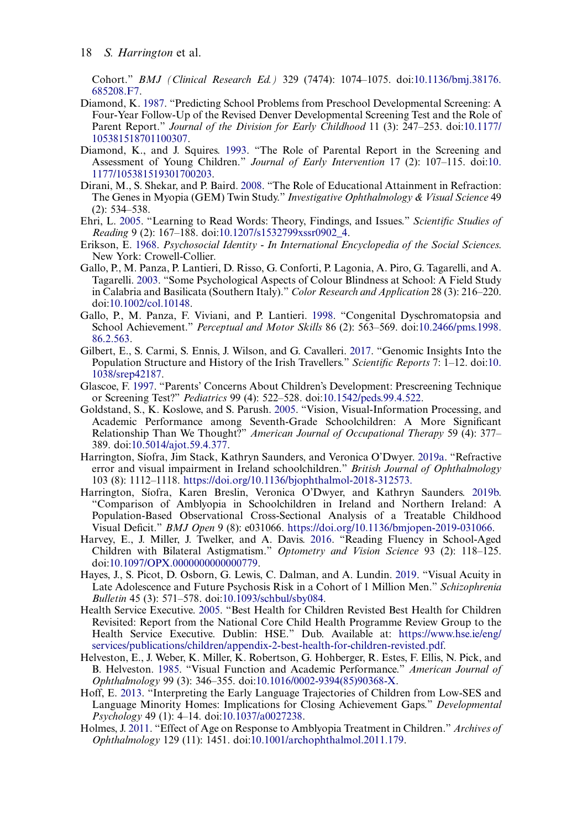Cohort." BMJ (Clinical Research Ed.) 329 (7474): 1074–1075. doi[:10.1136/bmj.38176.](https://doi.org/10.1136/bmj.38176.685208.F7) [685208.F7.](https://doi.org/10.1136/bmj.38176.685208.F7)

- <span id="page-19-6"></span>Diamond, K. [1987](#page-4-1). "Predicting School Problems from Preschool Developmental Screening: A Four-Year Follow-Up of the Revised Denver Developmental Screening Test and the Role of Parent Report." Journal of the Division for Early Childhood 11 (3): 247–253. doi[:10.1177/](https://doi.org/10.1177/105381518701100307) [105381518701100307](https://doi.org/10.1177/105381518701100307).
- <span id="page-19-7"></span>Diamond, K., and J. Squires. [1993](#page-4-1). "The Role of Parental Report in the Screening and Assessment of Young Children." Journal of Early Intervention 17 (2): 107–115. doi:[10.](https://doi.org/10.1177/105381519301700203) [1177/105381519301700203.](https://doi.org/10.1177/105381519301700203)
- <span id="page-19-2"></span>Dirani, M., S. Shekar, and P. Baird. [2008](#page-3-7). "The Role of Educational Attainment in Refraction: The Genes in Myopia (GEM) Twin Study." Investigative Ophthalmology & Visual Science 49 (2): 534–538.
- <span id="page-19-0"></span>Ehri, L. [2005](#page-2-0). "Learning to Read Words: Theory, Findings, and Issues." Scientific Studies of Reading 9 (2): 167–188. doi:[10.1207/s1532799xssr0902\\_4.](https://doi.org/10.1207/s1532799xssr0902_4)
- <span id="page-19-15"></span>Erikson, E. [1968.](#page-14-1) Psychosocial Identity - In International Encyclopedia of the Social Sciences. New York: Crowell-Collier.
- <span id="page-19-4"></span>Gallo, P., M. Panza, P. Lantieri, D. Risso, G. Conforti, P. Lagonia, A. Piro, G. Tagarelli, and A. Tagarelli. [2003.](#page-3-8) "Some Psychological Aspects of Colour Blindness at School: A Field Study in Calabria and Basilicata (Southern Italy)." Color Research and Application 28 (3): 216–220. doi:[10.1002/col.10148](https://doi.org/10.1002/col.10148).
- <span id="page-19-16"></span>Gallo, P., M. Panza, F. Viviani, and P. Lantieri. [1998](#page-14-0). "Congenital Dyschromatopsia and School Achievement." Perceptual and Motor Skills 86 (2): 563–569. doi[:10.2466/pms.1998.](https://doi.org/10.2466/pms.1998.86.2.563) [86.2.563.](https://doi.org/10.2466/pms.1998.86.2.563)
- <span id="page-19-9"></span>Gilbert, E., S. Carmi, S. Ennis, J. Wilson, and G. Cavalleri. [2017.](#page-4-2) "Genomic Insights Into the Population Structure and History of the Irish Travellers." Scientific Reports 7: 1–12. doi:[10.](https://doi.org/10.1038/srep42187) [1038/srep42187.](https://doi.org/10.1038/srep42187)
- <span id="page-19-8"></span>Glascoe, F. [1997.](#page-4-1) "Parents' Concerns About Children's Development: Prescreening Technique or Screening Test?" Pediatrics 99 (4): 522–528. doi:[10.1542/peds.99.4.522.](https://doi.org/10.1542/peds.99.4.522)
- <span id="page-19-1"></span>Goldstand, S., K. Koslowe, and S. Parush. [2005.](#page-3-9) "Vision, Visual-Information Processing, and Academic Performance among Seventh-Grade Schoolchildren: A More Significant Relationship Than We Thought?" American Journal of Occupational Therapy 59 (4): 377– 389. doi[:10.5014/ajot.59.4.377.](https://doi.org/10.5014/ajot.59.4.377)
- <span id="page-19-5"></span>Harrington, Síofra, Jim Stack, Kathryn Saunders, and Veronica O'Dwyer. [2019a.](#page-4-3) "Refractive error and visual impairment in Ireland schoolchildren." British Journal of Ophthalmology 103 (8): 1112–1118. <https://doi.org/10.1136/bjophthalmol-2018-312573.>
- <span id="page-19-13"></span>Harrington, Síofra, Karen Breslin, Veronica O'Dwyer, and Kathryn Saunders. [2019b.](#page-13-1) "Comparison of Amblyopia in Schoolchildren in Ireland and Northern Ireland: A Population-Based Observational Cross-Sectional Analysis of a Treatable Childhood Visual Deficit." BMJ Open 9 (8): e031066. <https://doi.org/10.1136/bmjopen-2019-031066>.
- <span id="page-19-12"></span>Harvey, E., J. Miller, J. Twelker, and A. Davis. [2016](#page-13-2). "Reading Fluency in School-Aged Children with Bilateral Astigmatism." Optometry and Vision Science 93 (2): 118–125. doi:[10.1097/OPX.0000000000000779.](https://doi.org/10.1097/OPX.0000000000000779)
- <span id="page-19-17"></span>Hayes, J., S. Picot, D. Osborn, G. Lewis, C. Dalman, and A. Lundin. [2019](#page-15-1). "Visual Acuity in Late Adolescence and Future Psychosis Risk in a Cohort of 1 Million Men." Schizophrenia Bulletin 45 (3): 571–578. doi:[10.1093/schbul/sby084](https://doi.org/10.1093/schbul/sby084).
- <span id="page-19-11"></span>Health Service Executive. [2005.](#page-12-1) "Best Health for Children Revisted Best Health for Children Revisited: Report from the National Core Child Health Programme Review Group to the Health Service Executive. Dublin: HSE." Dub. Available at: [https://www.hse.ie/eng/](https://www.hse.ie/eng/services/publications/children/appendix-2-best-health-for-children-revisted.pdf) [services/publications/children/appendix-2-best-health-for-children-revisted.pdf.](https://www.hse.ie/eng/services/publications/children/appendix-2-best-health-for-children-revisted.pdf)
- <span id="page-19-3"></span>Helveston, E., J. Weber, K. Miller, K. Robertson, G. Hohberger, R. Estes, F. Ellis, N. Pick, and B. Helveston. [1985.](#page-3-7) "Visual Function and Academic Performance." American Journal of Ophthalmology 99 (3): 346–355. doi[:10.1016/0002-9394\(85\)90368-X.](https://doi.org/10.1016/0002-9394(85)90368-X)
- <span id="page-19-10"></span>Hoff, E. [2013](#page-12-2). "Interpreting the Early Language Trajectories of Children from Low-SES and Language Minority Homes: Implications for Closing Achievement Gaps." Developmental Psychology 49 (1): 4–14. doi[:10.1037/a0027238](https://doi.org/10.1037/a0027238).
- <span id="page-19-14"></span>Holmes, J. [2011.](#page-14-2) "Effect of Age on Response to Amblyopia Treatment in Children." Archives of Ophthalmology 129 (11): 1451. doi:[10.1001/archophthalmol.2011.179](https://doi.org/10.1001/archophthalmol.2011.179).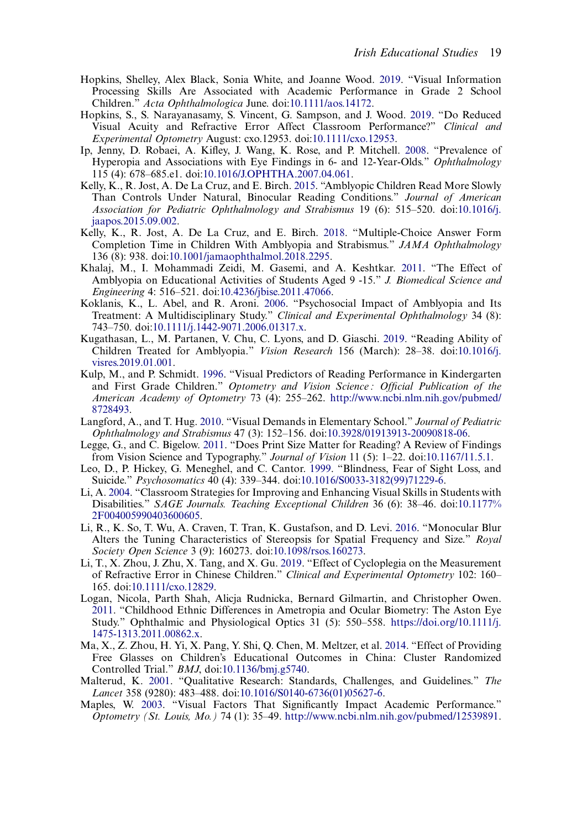- <span id="page-20-2"></span>Hopkins, Shelley, Alex Black, Sonia White, and Joanne Wood. [2019.](#page-3-6) "Visual Information Processing Skills Are Associated with Academic Performance in Grade 2 School Children." Acta Ophthalmologica June. doi:[10.1111/aos.14172.](https://doi.org/10.1111/aos.14172)
- <span id="page-20-18"></span>Hopkins, S., S. Narayanasamy, S. Vincent, G. Sampson, and J. Wood. [2019.](#page-16-0) "Do Reduced Visual Acuity and Refractive Error Affect Classroom Performance?" Clinical and Experimental Optometry August: cxo.12953. doi:[10.1111/cxo.12953.](https://doi.org/10.1111/cxo.12953)
- <span id="page-20-4"></span>Ip, Jenny, D. Robaei, A. Kifley, J. Wang, K. Rose, and P. Mitchell. [2008](#page-3-10). "Prevalence of Hyperopia and Associations with Eye Findings in 6- and 12-Year-Olds." Ophthalmology 115 (4): 678–685.e1. doi[:10.1016/J.OPHTHA.2007.04.061.](https://doi.org/10.1016/J.OPHTHA.2007.04.061)
- <span id="page-20-5"></span>Kelly, K., R. Jost, A. De La Cruz, and E. Birch. [2015](#page-3-11). "Amblyopic Children Read More Slowly Than Controls Under Natural, Binocular Reading Conditions." Journal of American Association for Pediatric Ophthalmology and Strabismus 19 (6): 515–520. doi[:10.1016/j.](https://doi.org/10.1016/j.jaapos.2015.09.002) [jaapos.2015.09.002.](https://doi.org/10.1016/j.jaapos.2015.09.002)
- <span id="page-20-6"></span>Kelly, K., R. Jost, A. De La Cruz, and E. Birch. [2018](#page-3-12). "Multiple-Choice Answer Form Completion Time in Children With Amblyopia and Strabismus." JAMA Ophthalmology 136 (8): 938. doi[:10.1001/jamaophthalmol.2018.2295.](https://doi.org/10.1001/jamaophthalmol.2018.2295)
- <span id="page-20-7"></span>Khalaj, M., I. Mohammadi Zeidi, M. Gasemi, and A. Keshtkar. [2011](#page-3-13). "The Effect of Amblyopia on Educational Activities of Students Aged 9 -15." J. Biomedical Science and Engineering 4: 516–521. doi:[10.4236/jbise.2011.47066.](https://doi.org/10.4236/jbise.2011.47066)
- <span id="page-20-15"></span>Koklanis, K., L. Abel, and R. Aroni. [2006](#page-14-3). "Psychosocial Impact of Amblyopia and Its Treatment: A Multidisciplinary Study." Clinical and Experimental Ophthalmology 34 (8): 743–750. doi[:10.1111/j.1442-9071.2006.01317.x.](https://doi.org/10.1111/j.1442-9071.2006.01317.x)
- <span id="page-20-14"></span>Kugathasan, L., M. Partanen, V. Chu, C. Lyons, and D. Giaschi. [2019](#page-14-4). "Reading Ability of Children Treated for Amblyopia." Vision Research 156 (March): 28–38. doi[:10.1016/j.](https://doi.org/10.1016/j.visres.2019.01.001) [visres.2019.01.001](https://doi.org/10.1016/j.visres.2019.01.001).
- <span id="page-20-1"></span>Kulp, M., and P. Schmidt. [1996.](#page-3-14) "Visual Predictors of Reading Performance in Kindergarten and First Grade Children." Optometry and Vision Science : Official Publication of the American Academy of Optometry 73 (4): 255–262. [http://www.ncbi.nlm.nih.gov/pubmed/](http://www.ncbi.nlm.nih.gov/pubmed/8728493) [8728493.](http://www.ncbi.nlm.nih.gov/pubmed/8728493)
- <span id="page-20-12"></span>Langford, A., and T. Hug. [2010.](#page-12-3) "Visual Demands in Elementary School." Journal of Pediatric Ophthalmology and Strabismus 47 (3): 152–156. doi:[10.3928/01913913-20090818-06](https://doi.org/10.3928/01913913-20090818-06).
- <span id="page-20-3"></span>Legge, G., and C. Bigelow. [2011](#page-3-15). "Does Print Size Matter for Reading? A Review of Findings from Vision Science and Typography." Journal of Vision 11 (5): 1–22. doi[:10.1167/11.5.1](https://doi.org/10.1167/11.5.1).
- <span id="page-20-17"></span>Leo, D., P. Hickey, G. Meneghel, and C. Cantor. [1999.](#page-15-1) "Blindness, Fear of Sight Loss, and Suicide." Psychosomatics 40 (4): 339–344. doi[:10.1016/S0033-3182\(99\)71229-6](https://doi.org/10.1016/S0033-3182(99)71229-6).
- <span id="page-20-0"></span>Li, A. [2004](#page-3-16). "Classroom Strategies for Improving and Enhancing Visual Skills in Students with Disabilities." SAGE Journals. Teaching Exceptional Children 36 (6): 38–46. doi[:10.1177%](https://doi.org/10.1177%2F004005990403600605) [2F004005990403600605.](https://doi.org/10.1177%2F004005990403600605)
- <span id="page-20-16"></span>Li, R., K. So, T. Wu, A. Craven, T. Tran, K. Gustafson, and D. Levi. [2016](#page-14-5). "Monocular Blur Alters the Tuning Characteristics of Stereopsis for Spatial Frequency and Size." Royal Society Open Science 3 (9): 160273. doi:[10.1098/rsos.160273.](https://doi.org/10.1098/rsos.160273)
- <span id="page-20-9"></span>Li, T., X. Zhou, J. Zhu, X. Tang, and X. Gu. [2019.](#page-5-0) "Effect of Cycloplegia on the Measurement of Refractive Error in Chinese Children." Clinical and Experimental Optometry 102: 160– 165. doi[:10.1111/cxo.12829](https://doi.org/10.1111/cxo.12829).
- <span id="page-20-8"></span>Logan, Nicola, Parth Shah, Alicja Rudnicka, Bernard Gilmartin, and Christopher Owen. [2011](#page-4-4). "Childhood Ethnic Differences in Ametropia and Ocular Biometry: The Aston Eye Study." Ophthalmic and Physiological Optics 31 (5): 550–558. [https://doi.org/10.1111/j.](https://doi.org/10.1111/j.1475-1313.2011.00862.x) [1475-1313.2011.00862.x](https://doi.org/10.1111/j.1475-1313.2011.00862.x).
- <span id="page-20-13"></span>Ma, X., Z. Zhou, H. Yi, X. Pang, Y. Shi, Q. Chen, M. Meltzer, et al. [2014](#page-13-3). "Effect of Providing Free Glasses on Children's Educational Outcomes in China: Cluster Randomized Controlled Trial." BMJ, doi[:10.1136/bmj.g5740](https://doi.org/10.1136/bmj.g5740).
- <span id="page-20-10"></span>Malterud, K. [2001](#page-11-1). "Qualitative Research: Standards, Challenges, and Guidelines." The Lancet 358 (9280): 483–488. doi[:10.1016/S0140-6736\(01\)05627-6](https://doi.org/10.1016/S0140-6736(01)05627-6).
- <span id="page-20-11"></span>Maples, W. [2003.](#page-12-4) "Visual Factors That Significantly Impact Academic Performance." Optometry (St. Louis, Mo.) 74 (1): 35–49. [http://www.ncbi.nlm.nih.gov/pubmed/12539891.](http://www.ncbi.nlm.nih.gov/pubmed/12539891)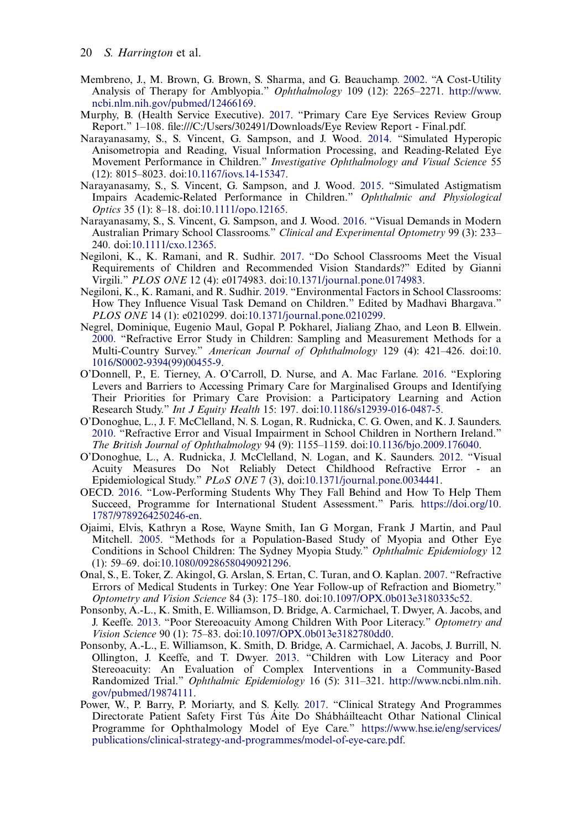- <span id="page-21-14"></span>Membreno, J., M. Brown, G. Brown, S. Sharma, and G. Beauchamp. [2002](#page-15-2). "A Cost-Utility Analysis of Therapy for Amblyopia." Ophthalmology 109 (12): 2265–2271. [http://www.](http://www.ncbi.nlm.nih.gov/pubmed/12466169) [ncbi.nlm.nih.gov/pubmed/12466169.](http://www.ncbi.nlm.nih.gov/pubmed/12466169)
- <span id="page-21-16"></span>Murphy, B. (Health Service Executive). [2017](#page-16-1). "Primary Care Eye Services Review Group Report." 1–108. file:///C:/Users/302491/Downloads/Eye Review Report - Final.pdf.
- <span id="page-21-11"></span>Narayanasamy, S., S. Vincent, G. Sampson, and J. Wood. [2014.](#page-14-6) "Simulated Hyperopic Anisometropia and Reading, Visual Information Processing, and Reading-Related Eye Movement Performance in Children." Investigative Ophthalmology and Visual Science 55 (12): 8015–8023. doi:[10.1167/iovs.14-15347](https://doi.org/10.1167/iovs.14-15347).
- <span id="page-21-10"></span>Narayanasamy, S., S. Vincent, G. Sampson, and J. Wood. [2015](#page-13-4). "Simulated Astigmatism Impairs Academic-Related Performance in Children." Ophthalmic and Physiological Optics 35 (1): 8–18. doi[:10.1111/opo.12165.](https://doi.org/10.1111/opo.12165)
- <span id="page-21-0"></span>Narayanasamy, S., S. Vincent, G. Sampson, and J. Wood. [2016.](#page-2-1) "Visual Demands in Modern Australian Primary School Classrooms." Clinical and Experimental Optometry 99 (3): 233– 240. doi[:10.1111/cxo.12365](https://doi.org/10.1111/cxo.12365).
- <span id="page-21-1"></span>Negiloni, K., K. Ramani, and R. Sudhir. [2017.](#page-2-1) "Do School Classrooms Meet the Visual Requirements of Children and Recommended Vision Standards?" Edited by Gianni Virgili." PLOS ONE 12 (4): e0174983. doi:[10.1371/journal.pone.0174983](https://doi.org/10.1371/journal.pone.0174983).
- <span id="page-21-9"></span>Negiloni, K., K. Ramani, and R. Sudhir. [2019.](#page-12-5) "Environmental Factors in School Classrooms: How They Influence Visual Task Demand on Children." Edited by Madhavi Bhargava." PLOS ONE 14 (1): e0210299. doi[:10.1371/journal.pone.0210299.](https://doi.org/10.1371/journal.pone.0210299)
- <span id="page-21-4"></span>Negrel, Dominique, Eugenio Maul, Gopal P. Pokharel, Jialiang Zhao, and Leon B. Ellwein. [2000](#page-4-5). "Refractive Error Study in Children: Sampling and Measurement Methods for a Multi-Country Survey." American Journal of Ophthalmology 129 (4): 421–426. doi:[10.](https://doi.org/10.1016/S0002-9394(99)00455-9) [1016/S0002-9394\(99\)00455-9.](https://doi.org/10.1016/S0002-9394(99)00455-9)
- <span id="page-21-15"></span>O'Donnell, P., E. Tierney, A. O'Carroll, D. Nurse, and A. Mac Farlane. [2016](#page-16-2). "Exploring Levers and Barriers to Accessing Primary Care for Marginalised Groups and Identifying Their Priorities for Primary Care Provision: a Participatory Learning and Action Research Study." Int J Equity Health 15: 197. doi:[10.1186/s12939-016-0487-5.](https://doi.org/10.1186/s12939-016-0487-5)
- <span id="page-21-6"></span>O'Donoghue, L., J. F. McClelland, N. S. Logan, R. Rudnicka, C. G. Owen, and K. J. Saunders. [2010](#page-4-5). "Refractive Error and Visual Impairment in School Children in Northern Ireland." The British Journal of Ophthalmology 94 (9): 1155–1159. doi[:10.1136/bjo.2009.176040](https://doi.org/10.1136/bjo.2009.176040).
- <span id="page-21-8"></span>O'Donoghue, L., A. Rudnicka, J. McClelland, N. Logan, and K. Saunders. [2012](#page-5-1). "Visual Acuity Measures Do Not Reliably Detect Childhood Refractive Error - an Epidemiological Study."  $PLoS$  ONE 7 (3), doi:[10.1371/journal.pone.0034441](https://doi.org/10.1371/journal.pone.0034441).
- <span id="page-21-7"></span>OECD. [2016](#page-5-2). "Low-Performing Students Why They Fall Behind and How To Help Them Succeed, Programme for International Student Assessment." Paris. [https://doi.org/10.](https://doi.org/10.1787/9789264250246-en) [1787/9789264250246-en.](https://doi.org/10.1787/9789264250246-en)
- <span id="page-21-5"></span>Ojaimi, Elvis, Kathryn a Rose, Wayne Smith, Ian G Morgan, Frank J Martin, and Paul Mitchell. [2005.](#page-4-5) "Methods for a Population-Based Study of Myopia and Other Eye Conditions in School Children: The Sydney Myopia Study." Ophthalmic Epidemiology 12 (1): 59–69. doi[:10.1080/09286580490921296.](https://doi.org/10.1080/09286580490921296)
- <span id="page-21-3"></span>Onal, S., E. Toker, Z. Akingol, G. Arslan, S. Ertan, C. Turan, and O. Kaplan. [2007](#page-3-17). "Refractive Errors of Medical Students in Turkey: One Year Follow-up of Refraction and Biometry." Optometry and Vision Science 84 (3): 175–180. doi[:10.1097/OPX.0b013e3180335c52](https://doi.org/10.1097/OPX.0b013e3180335c52).
- <span id="page-21-2"></span>Ponsonby, A.-L., K. Smith, E. Williamson, D. Bridge, A. Carmichael, T. Dwyer, A. Jacobs, and J. Keeffe. [2013](#page-3-14). "Poor Stereoacuity Among Children With Poor Literacy." Optometry and Vision Science 90 (1): 75–83. doi:[10.1097/OPX.0b013e3182780dd0.](https://doi.org/10.1097/OPX.0b013e3182780dd0)
- <span id="page-21-12"></span>Ponsonby, A.-L., E. Williamson, K. Smith, D. Bridge, A. Carmichael, A. Jacobs, J. Burrill, N. Ollington, J. Keeffe, and T. Dwyer. [2013](#page-14-7). "Children with Low Literacy and Poor Stereoacuity: An Evaluation of Complex Interventions in a Community-Based Randomized Trial." Ophthalmic Epidemiology 16 (5): 311–321. [http://www.ncbi.nlm.nih.](http://www.ncbi.nlm.nih.gov/pubmed/19874111) [gov/pubmed/19874111.](http://www.ncbi.nlm.nih.gov/pubmed/19874111)
- <span id="page-21-13"></span>Power, W., P. Barry, P. Moriarty, and S. Kelly. [2017](#page-15-3). "Clinical Strategy And Programmes Directorate Patient Safety First Tús Áite Do Shábháilteacht Othar National Clinical Programme for Ophthalmology Model of Eye Care." [https://www.hse.ie/eng/services/](https://www.hse.ie/eng/services/publications/clinical-strategy-and-programmes/model-of-eye-care.pdf) [publications/clinical-strategy-and-programmes/model-of-eye-care.pdf.](https://www.hse.ie/eng/services/publications/clinical-strategy-and-programmes/model-of-eye-care.pdf)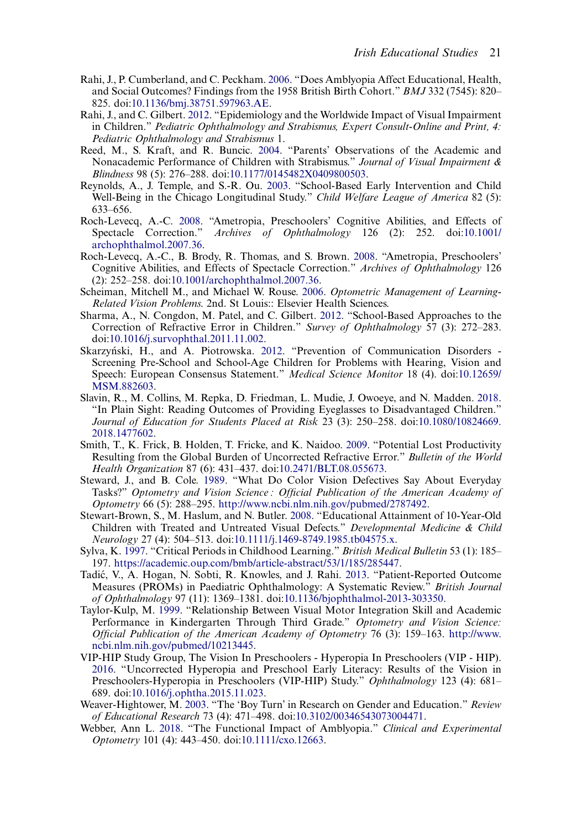- <span id="page-22-15"></span>Rahi, J., P. Cumberland, and C. Peckham. [2006](#page-14-8). "Does Amblyopia Affect Educational, Health, and Social Outcomes? Findings from the 1958 British Birth Cohort." BMJ 332 (7545): 820– 825. doi[:10.1136/bmj.38751.597963.AE](https://doi.org/10.1136/bmj.38751.597963.AE).
- <span id="page-22-6"></span>Rahi, J., and C. Gilbert. [2012](#page-3-18). "Epidemiology and the Worldwide Impact of Visual Impairment in Children." Pediatric Ophthalmology and Strabismus, Expert Consult-Online and Print, 4: Pediatric Ophthalmology and Strabismus 1.
- <span id="page-22-14"></span>Reed, M., S. Kraft, and R. Buncic. [2004](#page-13-5). "Parents' Observations of the Academic and Nonacademic Performance of Children with Strabismus." Journal of Visual Impairment & Blindness 98 (5): 276–288. doi:[10.1177/0145482X0409800503](https://doi.org/10.1177/0145482X0409800503).
- <span id="page-22-18"></span>Reynolds, A., J. Temple, and S.-R. Ou. [2003](#page-15-4). "School-Based Early Intervention and Child Well-Being in the Chicago Longitudinal Study." Child Welfare League of America 82 (5): 633–656.
- <span id="page-22-7"></span>Roch-Levecq, A.-C. [2008.](#page-3-19) "Ametropia, Preschoolers' Cognitive Abilities, and Effects of Spectacle Correction." Archives of Ophthalmology 126 (2): 252. doi:10.1001/ Archives of Ophthalmology 126 (2): 252. doi[:10.1001/](https://doi.org/10.1001/archophthalmol.2007.36) [archophthalmol.2007.36](https://doi.org/10.1001/archophthalmol.2007.36).
- <span id="page-22-13"></span>Roch-Levecq, A.-C., B. Brody, R. Thomas, and S. Brown. [2008.](#page-13-6) "Ametropia, Preschoolers' Cognitive Abilities, and Effects of Spectacle Correction." Archives of Ophthalmology 126 (2): 252–258. doi[:10.1001/archophthalmol.2007.36](https://doi.org/10.1001/archophthalmol.2007.36).
- <span id="page-22-0"></span>Scheiman, Mitchell M., and Michael W. Rouse. [2006](#page-2-0). Optometric Management of Learning-Related Vision Problems. 2nd. St Louis:: Elsevier Health Sciences.
- <span id="page-22-17"></span>Sharma, A., N. Congdon, M. Patel, and C. Gilbert. [2012](#page-15-5). "School-Based Approaches to the Correction of Refractive Error in Children." Survey of Ophthalmology 57 (3): 272–283. doi:[10.1016/j.survophthal.2011.11.002](https://doi.org/10.1016/j.survophthal.2011.11.002).
- <span id="page-22-2"></span>Skarzyński, H., and A. Piotrowska. [2012](#page-2-2). "Prevention of Communication Disorders -Screening Pre-School and School-Age Children for Problems with Hearing, Vision and Speech: European Consensus Statement." Medical Science Monitor 18 (4). doi:[10.12659/](https://doi.org/10.12659/MSM.882603) [MSM.882603](https://doi.org/10.12659/MSM.882603).
- <span id="page-22-12"></span>Slavin, R., M. Collins, M. Repka, D. Friedman, L. Mudie, J. Owoeye, and N. Madden. [2018.](#page-13-3) "In Plain Sight: Reading Outcomes of Providing Eyeglasses to Disadvantaged Children." Journal of Education for Students Placed at Risk 23 (3): 250–258. doi:[10.1080/10824669.](https://doi.org/10.1080/10824669.2018.1477602) [2018.1477602.](https://doi.org/10.1080/10824669.2018.1477602)
- <span id="page-22-9"></span>Smith, T., K. Frick, B. Holden, T. Fricke, and K. Naidoo. [2009](#page-5-3). "Potential Lost Productivity Resulting from the Global Burden of Uncorrected Refractive Error." Bulletin of the World Health Organization 87 (6): 431–437. doi:[10.2471/BLT.08.055673.](https://doi.org/10.2471/BLT.08.055673)
- <span id="page-22-16"></span>Steward, J., and B. Cole. [1989.](#page-15-6) "What Do Color Vision Defectives Say About Everyday Tasks?" Optometry and Vision Science : Official Publication of the American Academy of Optometry 66 (5): 288–295. <http://www.ncbi.nlm.nih.gov/pubmed/2787492>.
- <span id="page-22-5"></span>Stewart-Brown, S., M. Haslum, and N. Butler. [2008](#page-3-20). "Educational Attainment of 10-Year-Old Children with Treated and Untreated Visual Defects." Developmental Medicine & Child Neurology 27 (4): 504–513. doi:[10.1111/j.1469-8749.1985.tb04575.x.](https://doi.org/10.1111/j.1469-8749.1985.tb04575.x)
- <span id="page-22-1"></span>Sylva, K. [1997](#page-2-0). "Critical Periods in Childhood Learning." British Medical Bulletin 53 (1): 185– 197. <https://academic.oup.com/bmb/article-abstract/53/1/185/285447>.
- <span id="page-22-10"></span>Tadic, V., A. Hogan, N. Sobti, R. Knowles, and J. Rahi. ́ [2013.](#page-12-6) "Patient-Reported Outcome Measures (PROMs) in Paediatric Ophthalmology: A Systematic Review." British Journal of Ophthalmology 97 (11): 1369–1381. doi:[10.1136/bjophthalmol-2013-303350.](https://doi.org/10.1136/bjophthalmol-2013-303350)
- <span id="page-22-3"></span>Taylor-Kulp, M. [1999](#page-3-21). "Relationship Between Visual Motor Integration Skill and Academic Performance in Kindergarten Through Third Grade." Optometry and Vision Science: Official Publication of the American Academy of Optometry 76 (3): 159–163. [http://www.](http://www.ncbi.nlm.nih.gov/pubmed/10213445) [ncbi.nlm.nih.gov/pubmed/10213445.](http://www.ncbi.nlm.nih.gov/pubmed/10213445)
- <span id="page-22-4"></span>VIP-HIP Study Group, The Vision In Preschoolers - Hyperopia In Preschoolers (VIP - HIP). [2016](#page-3-22). "Uncorrected Hyperopia and Preschool Early Literacy: Results of the Vision in Preschoolers-Hyperopia in Preschoolers (VIP-HIP) Study." Ophthalmology 123 (4): 681– 689. doi[:10.1016/j.ophtha.2015.11.023](https://doi.org/10.1016/j.ophtha.2015.11.023).
- <span id="page-22-11"></span>Weaver-Hightower, M. [2003.](#page-12-7) "The 'Boy Turn' in Research on Gender and Education." Review of Educational Research 73 (4): 471–498. doi:[10.3102/00346543073004471](https://doi.org/10.3102/00346543073004471).
- <span id="page-22-8"></span>Webber, Ann L. [2018](#page-3-1). "The Functional Impact of Amblyopia." Clinical and Experimental Optometry 101 (4): 443–450. doi:[10.1111/cxo.12663](https://doi.org/10.1111/cxo.12663).